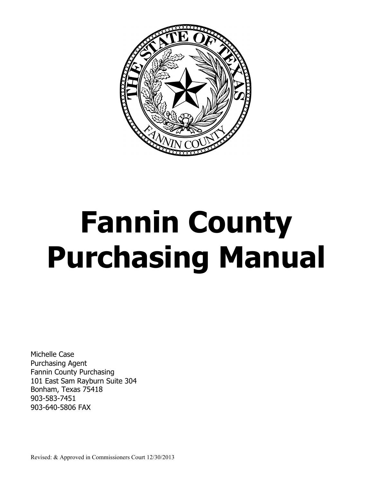

# **Fannin County Purchasing Manual**

Michelle Case Purchasing Agent Fannin County Purchasing 101 East Sam Rayburn Suite 304 Bonham, Texas 75418 903-583-7451 903-640-5806 FAX

Revised: & Approved in Commissioners Court 12/30/2013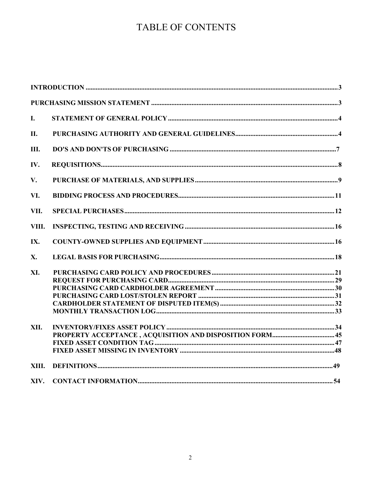# TABLE OF CONTENTS

| I.    |  |
|-------|--|
| II.   |  |
| Ш.    |  |
| IV.   |  |
| V.    |  |
| VI.   |  |
| VII.  |  |
| VIII. |  |
| IX.   |  |
| X.    |  |
| XI.   |  |
|       |  |
|       |  |
|       |  |
|       |  |
|       |  |
| XII.  |  |
|       |  |
|       |  |
|       |  |
| XIII. |  |
| XIV.  |  |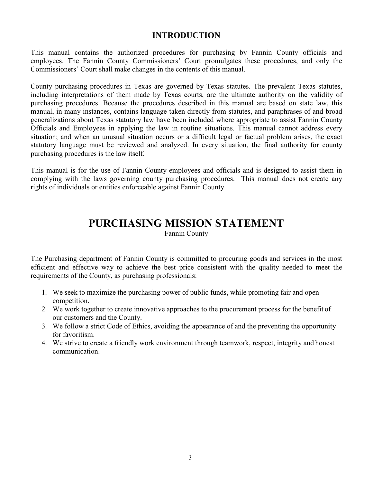# **INTRODUCTION**

This manual contains the authorized procedures for purchasing by Fannin County officials and employees. The Fannin County Commissioners' Court promulgates these procedures, and only the Commissioners' Court shall make changes in the contents of this manual.

County purchasing procedures in Texas are governed by Texas statutes. The prevalent Texas statutes, including interpretations of them made by Texas courts, are the ultimate authority on the validity of purchasing procedures. Because the procedures described in this manual are based on state law, this manual, in many instances, contains language taken directly from statutes, and paraphrases of and broad generalizations about Texas statutory law have been included where appropriate to assist Fannin County Officials and Employees in applying the law in routine situations. This manual cannot address every situation; and when an unusual situation occurs or a difficult legal or factual problem arises, the exact statutory language must be reviewed and analyzed. In every situation, the final authority for county purchasing procedures is the law itself.

This manual is for the use of Fannin County employees and officials and is designed to assist them in complying with the laws governing county purchasing procedures. This manual does not create any rights of individuals or entities enforceable against Fannin County.

# **PURCHASING MISSION STATEMENT**

Fannin County

The Purchasing department of Fannin County is committed to procuring goods and services in the most efficient and effective way to achieve the best price consistent with the quality needed to meet the requirements of the County, as purchasing professionals:

- 1. We seek to maximize the purchasing power of public funds, while promoting fair and open competition.
- 2. We work together to create innovative approaches to the procurement process for the benefit of our customers and the County.
- 3. We follow a strict Code of Ethics, avoiding the appearance of and the preventing the opportunity for favoritism.
- 4. We strive to create a friendly work environment through teamwork, respect, integrity and honest communication.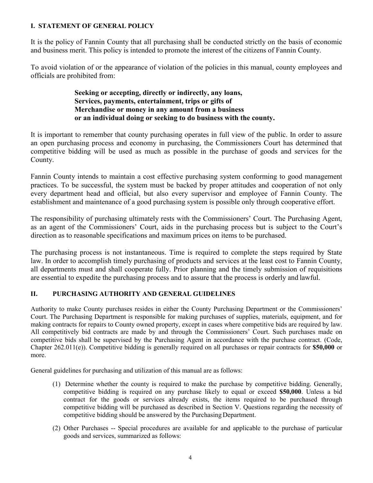# **I. STATEMENT OF GENERAL POLICY**

It is the policy of Fannin County that all purchasing shall be conducted strictly on the basis of economic and business merit. This policy is intended to promote the interest of the citizens of Fannin County.

To avoid violation of or the appearance of violation of the policies in this manual, county employees and officials are prohibited from:

> **Seeking or accepting, directly or indirectly, any loans, Services, payments, entertainment, trips or gifts of Merchandise or money in any amount from a business or an individual doing or seeking to do business with the county.**

It is important to remember that county purchasing operates in full view of the public. In order to assure an open purchasing process and economy in purchasing, the Commissioners Court has determined that competitive bidding will be used as much as possible in the purchase of goods and services for the County.

Fannin County intends to maintain a cost effective purchasing system conforming to good management practices. To be successful, the system must be backed by proper attitudes and cooperation of not only every department head and official, but also every supervisor and employee of Fannin County. The establishment and maintenance of a good purchasing system is possible only through cooperative effort.

The responsibility of purchasing ultimately rests with the Commissioners' Court. The Purchasing Agent, as an agent of the Commissioners' Court, aids in the purchasing process but is subject to the Court's direction as to reasonable specifications and maximum prices on items to be purchased.

The purchasing process is not instantaneous. Time is required to complete the steps required by State law. In order to accomplish timely purchasing of products and services at the least cost to Fannin County, all departments must and shall cooperate fully. Prior planning and the timely submission of requisitions are essential to expedite the purchasing process and to assure that the process is orderly and lawful.

# **II. PURCHASING AUTHORITY AND GENERAL GUIDELINES**

Authority to make County purchases resides in either the County Purchasing Department or the Commissioners' Court. The Purchasing Department is responsible for making purchases of supplies, materials, equipment, and for making contracts for repairs to County owned property, except in cases where competitive bids are required by law. All competitively bid contracts are made by and through the Commissioners' Court. Such purchases made on competitive bids shall be supervised by the Purchasing Agent in accordance with the purchase contract. (Code, Chapter 262.011(e)). Competitive bidding is generally required on all purchases or repair contracts for **\$50,000** or more.

General guidelines for purchasing and utilization of this manual are as follows:

- (1) Determine whether the county is required to make the purchase by competitive bidding. Generally, competitive bidding is required on any purchase likely to equal or exceed **\$50,000**. Unless a bid contract for the goods or services already exists, the items required to be purchased through competitive bidding will be purchased as described in Section V. Questions regarding the necessity of competitive bidding should be answered by the Purchasing Department.
- (2) Other Purchases -- Special procedures are available for and applicable to the purchase of particular goods and services, summarized as follows: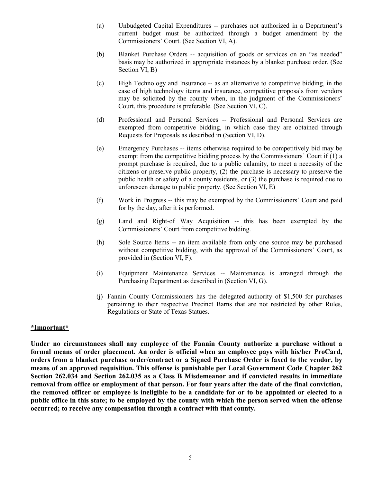- (a) Unbudgeted Capital Expenditures -- purchases not authorized in a Department's current budget must be authorized through a budget amendment by the Commissioners' Court. (See Section VI, A).
- (b) Blanket Purchase Orders -- acquisition of goods or services on an "as needed" basis may be authorized in appropriate instances by a blanket purchase order. (See Section VI, B)
- (c) High Technology and Insurance -- as an alternative to competitive bidding, in the case of high technology items and insurance, competitive proposals from vendors may be solicited by the county when, in the judgment of the Commissioners' Court, this procedure is preferable. (See Section VI, C).
- (d) Professional and Personal Services -- Professional and Personal Services are exempted from competitive bidding, in which case they are obtained through Requests for Proposals as described in (Section VI, D).
- (e) Emergency Purchases -- items otherwise required to be competitively bid may be exempt from the competitive bidding process by the Commissioners' Court if (1) a prompt purchase is required, due to a public calamity, to meet a necessity of the citizens or preserve public property, (2) the purchase is necessary to preserve the public health or safety of a county residents, or (3) the purchase is required due to unforeseen damage to public property. (See Section VI, E)
- (f) Work in Progress -- this may be exempted by the Commissioners' Court and paid for by the day, after it is performed.
- (g) Land and Right-of Way Acquisition -- this has been exempted by the Commissioners' Court from competitive bidding.
- (h) Sole Source Items -- an item available from only one source may be purchased without competitive bidding, with the approval of the Commissioners' Court, as provided in (Section VI, F).
- (i) Equipment Maintenance Services -- Maintenance is arranged through the Purchasing Department as described in (Section VI, G).
- (j) Fannin County Commissioners has the delegated authority of \$1,500 for purchases pertaining to their respective Precinct Barns that are not restricted by other Rules, Regulations or State of Texas Statues.

# **\*Important\***

**Under no circumstances shall any employee of the Fannin County authorize a purchase without a formal means of order placement. An order is official when an employee pays with his/her ProCard, orders from a blanket purchase order/contract or a Signed Purchase Order is faxed to the vendor, by means of an approved requisition. This offense is punishable per Local Government Code Chapter 262 Section 262.034 and Section 262.035 as a Class B Misdemeanor and if convicted results in immediate removal from office or employment of that person. For four years after the date of the final conviction, the removed officer or employee is ineligible to be a candidate for or to be appointed or elected to a public office in this state; to be employed by the county with which the person served when the offense occurred; to receive any compensation through a contract with that county.**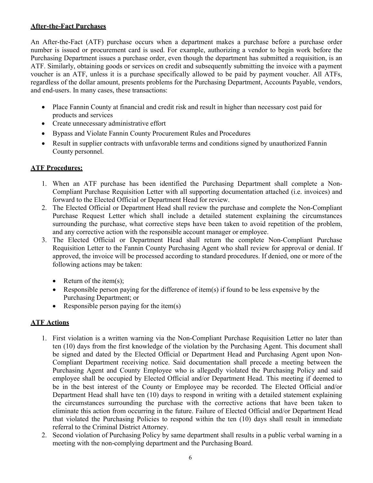# **After-the-Fact Purchases**

An After-the-Fact (ATF) purchase occurs when a department makes a purchase before a purchase order number is issued or procurement card is used. For example, authorizing a vendor to begin work before the Purchasing Department issues a purchase order, even though the department has submitted a requisition, is an ATF. Similarly, obtaining goods or services on credit and subsequently submitting the invoice with a payment voucher is an ATF, unless it is a purchase specifically allowed to be paid by payment voucher. All ATFs, regardless of the dollar amount, presents problems for the Purchasing Department, Accounts Payable, vendors, and end-users. In many cases, these transactions:

- Place Fannin County at financial and credit risk and result in higher than necessary cost paid for products and services
- Create unnecessary administrative effort
- Bypass and Violate Fannin County Procurement Rules and Procedures
- Result in supplier contracts with unfavorable terms and conditions signed by unauthorized Fannin County personnel.

# **ATF Procedures:**

- 1. When an ATF purchase has been identified the Purchasing Department shall complete a Non-Compliant Purchase Requisition Letter with all supporting documentation attached (i.e. invoices) and forward to the Elected Official or Department Head for review.
- 2. The Elected Official or Department Head shall review the purchase and complete the Non-Compliant Purchase Request Letter which shall include a detailed statement explaining the circumstances surrounding the purchase, what corrective steps have been taken to avoid repetition of the problem, and any corrective action with the responsible account manager or employee.
- 3. The Elected Official or Department Head shall return the complete Non-Compliant Purchase Requisition Letter to the Fannin County Purchasing Agent who shall review for approval or denial. If approved, the invoice will be processed according to standard procedures. If denied, one or more of the following actions may be taken:
	- Return of the item $(s)$ ;
	- Responsible person paying for the difference of item(s) if found to be less expensive by the Purchasing Department; or
	- Responsible person paying for the item $(s)$

# **ATF Actions**

- 1. First violation is a written warning via the Non-Compliant Purchase Requisition Letter no later than ten (10) days from the first knowledge of the violation by the Purchasing Agent. This document shall be signed and dated by the Elected Official or Department Head and Purchasing Agent upon Non-Compliant Department receiving notice. Said documentation shall precede a meeting between the Purchasing Agent and County Employee who is allegedly violated the Purchasing Policy and said employee shall be occupied by Elected Official and/or Department Head. This meeting if deemed to be in the best interest of the County or Employee may be recorded. The Elected Official and/or Department Head shall have ten (10) days to respond in writing with a detailed statement explaining the circumstances surrounding the purchase with the corrective actions that have been taken to eliminate this action from occurring in the future. Failure of Elected Official and/or Department Head that violated the Purchasing Policies to respond within the ten (10) days shall result in immediate referral to the Criminal District Attorney.
- 2. Second violation of Purchasing Policy by same department shall results in a public verbal warning in a meeting with the non-complying department and the Purchasing Board.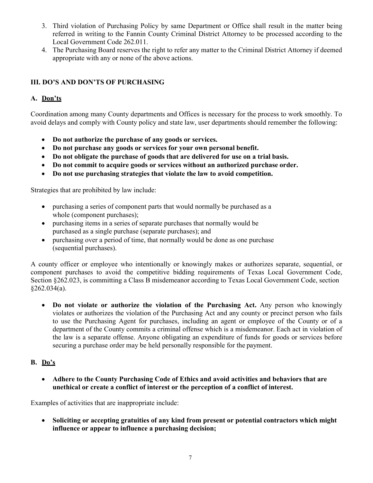- 3. Third violation of Purchasing Policy by same Department or Office shall result in the matter being referred in writing to the Fannin County Criminal District Attorney to be processed according to the Local Government Code 262.011.
- 4. The Purchasing Board reserves the right to refer any matter to the Criminal District Attorney if deemed appropriate with any or none of the above actions.

# **III. DO'S AND DON'TS OF PURCHASING**

# **A. Don'ts**

Coordination among many County departments and Offices is necessary for the process to work smoothly. To avoid delays and comply with County policy and state law, user departments should remember the following:

- **Do not authorize the purchase of any goods or services.**
- **Do not purchase any goods or services for your own personal benefit.**
- **Do not obligate the purchase of goods that are delivered for use on a trial basis.**
- **Do not commit to acquire goods or services without an authorized purchase order.**
- **Do not use purchasing strategies that violate the law to avoid competition.**

Strategies that are prohibited by law include:

- purchasing a series of component parts that would normally be purchased as a whole (component purchases);
- purchasing items in a series of separate purchases that normally would be purchased as a single purchase (separate purchases); and
- purchasing over a period of time, that normally would be done as one purchase (sequential purchases).

A county officer or employee who intentionally or knowingly makes or authorizes separate, sequential, or component purchases to avoid the competitive bidding requirements of Texas Local Government Code, Section §262.023, is committing a Class B misdemeanor according to Texas Local Government Code, section §262.034(a).

• **Do not violate or authorize the violation of the Purchasing Act.** Any person who knowingly violates or authorizes the violation of the Purchasing Act and any county or precinct person who fails to use the Purchasing Agent for purchases, including an agent or employee of the County or of a department of the County commits a criminal offense which is a misdemeanor. Each act in violation of the law is a separate offense. Anyone obligating an expenditure of funds for goods or services before securing a purchase order may be held personally responsible for the payment.

# **B. Do's**

• **Adhere to the County Purchasing Code of Ethics and avoid activities and behaviors that are unethical or create a conflict of interest or the perception of a conflict of interest.**

Examples of activities that are inappropriate include:

• **Soliciting or accepting gratuities of any kind from present or potential contractors which might influence or appear to influence a purchasing decision;**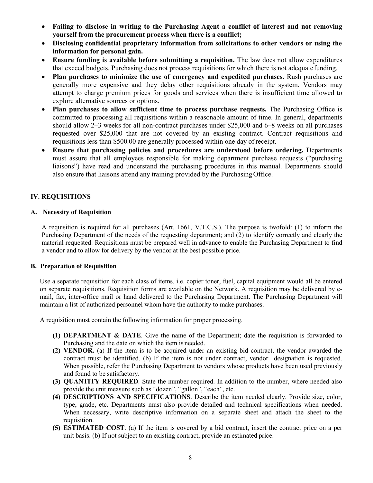- **Failing to disclose in writing to the Purchasing Agent a conflict of interest and not removing yourself from the procurement process when there is a conflict;**
- **Disclosing confidential proprietary information from solicitations to other vendors or using the information for personal gain.**
- **Ensure funding is available before submitting a requisition.** The law does not allow expenditures that exceed budgets. Purchasing does not process requisitions for which there is not adequatefunding.
- **Plan purchases to minimize the use of emergency and expedited purchases.** Rush purchases are generally more expensive and they delay other requisitions already in the system. Vendors may attempt to charge premium prices for goods and services when there is insufficient time allowed to explore alternative sources or options.
- **Plan purchases to allow sufficient time to process purchase requests.** The Purchasing Office is committed to processing all requisitions within a reasonable amount of time. In general, departments should allow 2–3 weeks for all non-contract purchases under \$25,000 and 6–8 weeks on all purchases requested over \$25,000 that are not covered by an existing contract. Contract requisitions and requisitions less than \$500.00 are generally processed within one day of receipt.
- **Ensure that purchasing policies and procedures are understood before ordering.** Departments must assure that all employees responsible for making department purchase requests ("purchasing liaisons") have read and understand the purchasing procedures in this manual. Departments should also ensure that liaisons attend any training provided by the Purchasing Office.

# **IV. REQUISITIONS**

# **A. Necessity of Requisition**

A requisition is required for all purchases (Art. 1661, V.T.C.S.). The purpose is twofold: (1) to inform the Purchasing Department of the needs of the requesting department; and (2) to identify correctly and clearly the material requested. Requisitions must be prepared well in advance to enable the Purchasing Department to find a vendor and to allow for delivery by the vendor at the best possible price.

# **B. Preparation of Requisition**

Use a separate requisition for each class of items. i.e. copier toner, fuel, capital equipment would all be entered on separate requisitions. Requisition forms are available on the Network. A requisition may be delivered by email, fax, inter-office mail or hand delivered to the Purchasing Department. The Purchasing Department will maintain a list of authorized personnel whom have the authority to make purchases.

A requisition must contain the following information for proper processing.

- **(1) DEPARTMENT & DATE**. Give the name of the Department; date the requisition is forwarded to Purchasing and the date on which the item is needed.
- **(2) VENDOR.** (a) If the item is to be acquired under an existing bid contract, the vendor awarded the contract must be identified. (b) If the item is not under contract, vendor designation is requested. When possible, refer the Purchasing Department to vendors whose products have been used previously and found to be satisfactory.
- **(3) QUANTITY REQUIRED**. State the number required. In addition to the number, where needed also provide the unit measure such as "dozen", "gallon", "each", etc.
- **(4) DESCRIPTIONS AND SPECIFICATIONS**. Describe the item needed clearly. Provide size, color, type, grade, etc. Departments must also provide detailed and technical specifications when needed. When necessary, write descriptive information on a separate sheet and attach the sheet to the requisition.
- **(5) ESTIMATED COST**. (a) If the item is covered by a bid contract, insert the contract price on a per unit basis. (b) If not subject to an existing contract, provide an estimated price.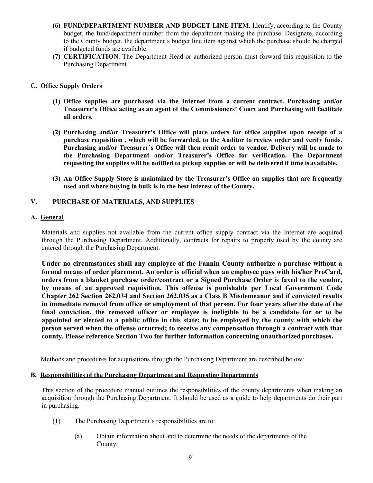- **(6) FUND/DEPARTMENT NUMBER AND BUDGET LINE ITEM**. Identify, according to the County budget, the fund/department number from the department making the purchase. Designate, according to the County budget, the department's budget line item against which the purchase should be charged if budgeted funds are available.
- **(7) CERTIFICATION**. The Department Head or authorized person must forward this requisition to the Purchasing Department.

# **C. Office Supply Orders**

- **(1) Office supplies are purchased via the Internet from a current contract. Purchasing and/or Treasurer's Office acting as an agent of the Commissioners' Court and Purchasing will facilitate all orders.**
- **(2) Purchasing and/or Treasurer's Office will place orders for office supplies upon receipt of a purchase requisition , which will be forwarded, to the Auditor to review order and verify funds. Purchasing and/or Treasurer's Office will then remit order to vendor. Delivery will be made to the Purchasing Department and/or Treasurer's Office for verification. The Department requesting the supplies will be notified to pickup supplies or will be delivered if time isavailable.**
- **(3) An Office Supply Store is maintained by the Treasurer's Office on supplies that are frequently used and where buying in bulk is in the best interest of the County.**

# **V. PURCHASE OF MATERIALS, AND SUPPLIES**

# **A. General**

Materials and supplies not available from the current office supply contract via the Internet are acquired through the Purchasing Department. Additionally, contracts for repairs to property used by the county are entered through the Purchasing Department.

**Under no circumstances shall any employee of the Fannin County authorize a purchase without a formal means of order placement. An order is official when an employee pays with his/her ProCard, orders from a blanket purchase order/contract or a Signed Purchase Order is faxed to the vendor, by means of an approved requisition. This offense is punishable per Local Government Code Chapter 262 Section 262.034 and Section 262.035 as a Class B Misdemeanor and if convicted results in immediate removal from office or employment of that person. For four years after the date of the final conviction, the removed officer or employee is ineligible to be a candidate for or to be appointed or elected to a public office in this state; to be employed by the county with which the person served when the offense occurred; to receive any compensation through a contract with that county. Please reference Section Two for further information concerning unauthorizedpurchases.**

Methods and procedures for acquisitions through the Purchasing Department are described below:

# **B. Responsibilities of the Purchasing Department and Requesting Departments**

This section of the procedure manual outlines the responsibilities of the county departments when making an acquisition through the Purchasing Department. It should be used as a guide to help departments do their part in purchasing.

- (1) The Purchasing Department's responsibilities are to:
	- (a) Obtain information about and to determine the needs of the departments of the County.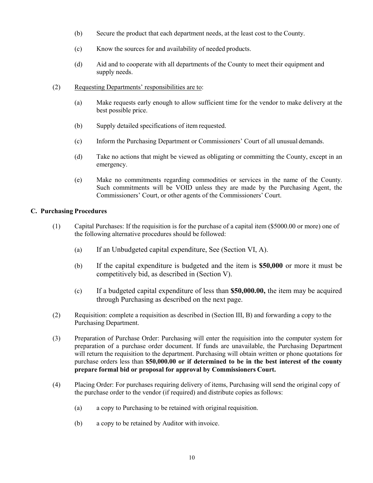- (b) Secure the product that each department needs, at the least cost to the County.
- (c) Know the sources for and availability of needed products.
- (d) Aid and to cooperate with all departments of the County to meet their equipment and supply needs.
- (2) Requesting Departments' responsibilities are to:
	- (a) Make requests early enough to allow sufficient time for the vendor to make delivery at the best possible price.
	- (b) Supply detailed specifications of item requested.
	- (c) Inform the Purchasing Department or Commissioners' Court of all unusual demands.
	- (d) Take no actions that might be viewed as obligating or committing the County, except in an emergency.
	- (e) Make no commitments regarding commodities or services in the name of the County. Such commitments will be VOID unless they are made by the Purchasing Agent, the Commissioners' Court, or other agents of the Commissioners' Court.

# **C. Purchasing Procedures**

- (1) Capital Purchases: If the requisition is for the purchase of a capital item (\$5000.00 or more) one of the following alternative procedures should be followed:
	- (a) If an Unbudgeted capital expenditure, See (Section VI, A).
	- (b) If the capital expenditure is budgeted and the item is **\$50,000** or more it must be competitively bid, as described in (Section V).
	- (c) If a budgeted capital expenditure of less than **\$50,000.00,** the item may be acquired through Purchasing as described on the next page.
- (2) Requisition: complete a requisition as described in (Section III, B) and forwarding a copy to the Purchasing Department.
- (3) Preparation of Purchase Order: Purchasing will enter the requisition into the computer system for preparation of a purchase order document. If funds are unavailable, the Purchasing Department will return the requisition to the department. Purchasing will obtain written or phone quotations for purchase orders less than **\$50,000.00 or if determined to be in the best interest of the county prepare formal bid or proposal for approval by Commissioners Court.**
- (4) Placing Order: For purchases requiring delivery of items, Purchasing will send the original copy of the purchase order to the vendor (if required) and distribute copies as follows:
	- (a) a copy to Purchasing to be retained with original requisition.
	- (b) a copy to be retained by Auditor with invoice.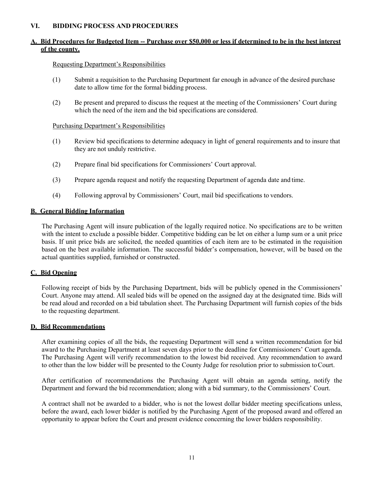# **VI. BIDDING PROCESS AND PROCEDURES**

# **A. Bid Procedures for Budgeted Item -- Purchase over \$50,000 or less if determined to be in the best interest of the county.**

# Requesting Department's Responsibilities

- (1) Submit a requisition to the Purchasing Department far enough in advance of the desired purchase date to allow time for the formal bidding process.
- (2) Be present and prepared to discuss the request at the meeting of the Commissioners' Court during which the need of the item and the bid specifications are considered.

# Purchasing Department's Responsibilities

- (1) Review bid specifications to determine adequacy in light of general requirements and to insure that they are not unduly restrictive.
- (2) Prepare final bid specifications for Commissioners' Court approval.
- (3) Prepare agenda request and notify the requesting Department of agenda date and time.
- (4) Following approval by Commissioners' Court, mail bid specifications to vendors.

# **B. General Bidding Information**

The Purchasing Agent will insure publication of the legally required notice. No specifications are to be written with the intent to exclude a possible bidder. Competitive bidding can be let on either a lump sum or a unit price basis. If unit price bids are solicited, the needed quantities of each item are to be estimated in the requisition based on the best available information. The successful bidder's compensation, however, will be based on the actual quantities supplied, furnished or constructed.

# **C. Bid Opening**

Following receipt of bids by the Purchasing Department, bids will be publicly opened in the Commissioners' Court. Anyone may attend. All sealed bids will be opened on the assigned day at the designated time. Bids will be read aloud and recorded on a bid tabulation sheet. The Purchasing Department will furnish copies of the bids to the requesting department.

# **D. Bid Recommendations**

After examining copies of all the bids, the requesting Department will send a written recommendation for bid award to the Purchasing Department at least seven days prior to the deadline for Commissioners' Court agenda. The Purchasing Agent will verify recommendation to the lowest bid received. Any recommendation to award to other than the low bidder will be presented to the County Judge for resolution prior to submission toCourt.

After certification of recommendations the Purchasing Agent will obtain an agenda setting, notify the Department and forward the bid recommendation; along with a bid summary, to the Commissioners' Court.

A contract shall not be awarded to a bidder, who is not the lowest dollar bidder meeting specifications unless, before the award, each lower bidder is notified by the Purchasing Agent of the proposed award and offered an opportunity to appear before the Court and present evidence concerning the lower bidders responsibility.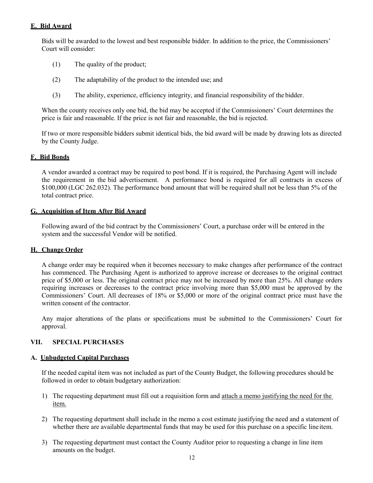# **E. Bid Award**

Bids will be awarded to the lowest and best responsible bidder. In addition to the price, the Commissioners' Court will consider:

- (1) The quality of the product;
- (2) The adaptability of the product to the intended use; and
- (3) The ability, experience, efficiency integrity, and financial responsibility of the bidder.

When the county receives only one bid, the bid may be accepted if the Commissioners' Court determines the price is fair and reasonable. If the price is not fair and reasonable, the bid is rejected.

If two or more responsible bidders submit identical bids, the bid award will be made by drawing lots as directed by the County Judge.

# **F. Bid Bonds**

A vendor awarded a contract may be required to post bond. If it is required, the Purchasing Agent will include the requirement in the bid advertisement. A performance bond is required for all contracts in excess of \$100,000 (LGC 262.032). The performance bond amount that will be required shall not be less than 5% of the total contract price.

# **G. Acquisition of Item After Bid Award**

Following award of the bid contract by the Commissioners' Court, a purchase order will be entered in the system and the successful Vendor will be notified.

# **H. Change Order**

A change order may be required when it becomes necessary to make changes after performance of the contract has commenced. The Purchasing Agent is authorized to approve increase or decreases to the original contract price of \$5,000 or less. The original contract price may not be increased by more than 25%. All change orders requiring increases or decreases to the contract price involving more than \$5,000 must be approved by the Commissioners' Court. All decreases of 18% or \$5,000 or more of the original contract price must have the written consent of the contractor.

Any major alterations of the plans or specifications must be submitted to the Commissioners' Court for approval.

# **VII. SPECIAL PURCHASES**

# **A. Unbudgeted Capital Purchases**

If the needed capital item was not included as part of the County Budget, the following procedures should be followed in order to obtain budgetary authorization:

- 1) The requesting department must fill out a requisition form and attach a memo justifying the need for the item.
- 2) The requesting department shall include in the memo a cost estimate justifying the need and a statement of whether there are available departmental funds that may be used for this purchase on a specific lineitem.
- 3) The requesting department must contact the County Auditor prior to requesting a change in line item amounts on the budget.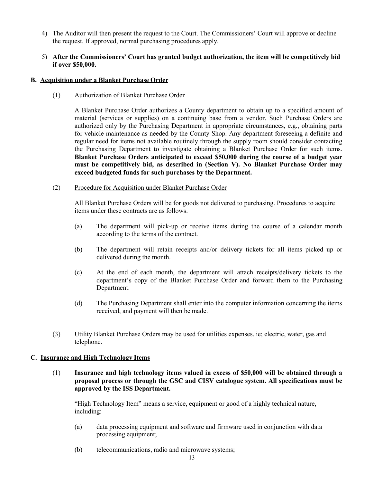- 4) The Auditor will then present the request to the Court. The Commissioners' Court will approve or decline the request. If approved, normal purchasing procedures apply.
- 5) **After the Commissioners' Court has granted budget authorization, the item will be competitively bid if over \$50,000.**

#### **B. Acquisition under a Blanket Purchase Order**

(1) Authorization of Blanket Purchase Order

A Blanket Purchase Order authorizes a County department to obtain up to a specified amount of material (services or supplies) on a continuing base from a vendor. Such Purchase Orders are authorized only by the Purchasing Department in appropriate circumstances, e.g., obtaining parts for vehicle maintenance as needed by the County Shop. Any department foreseeing a definite and regular need for items not available routinely through the supply room should consider contacting the Purchasing Department to investigate obtaining a Blanket Purchase Order for such items. **Blanket Purchase Orders anticipated to exceed \$50,000 during the course of a budget year must be competitively bid, as described in (Section V). No Blanket Purchase Order may exceed budgeted funds for such purchases by the Department.**

(2) Procedure for Acquisition under Blanket Purchase Order

All Blanket Purchase Orders will be for goods not delivered to purchasing. Procedures to acquire items under these contracts are as follows.

- (a) The department will pick-up or receive items during the course of a calendar month according to the terms of the contract.
- (b) The department will retain receipts and/or delivery tickets for all items picked up or delivered during the month.
- (c) At the end of each month, the department will attach receipts/delivery tickets to the department's copy of the Blanket Purchase Order and forward them to the Purchasing Department.
- (d) The Purchasing Department shall enter into the computer information concerning the items received, and payment will then be made.
- (3) Utility Blanket Purchase Orders may be used for utilities expenses. ie; electric, water, gas and telephone.

# **C. Insurance and High Technology Items**

(1) **Insurance and high technology items valued in excess of \$50,000 will be obtained through a proposal process or through the GSC and CISV catalogue system. All specifications must be approved by the ISS Department.**

"High Technology Item" means a service, equipment or good of a highly technical nature, including:

- (a) data processing equipment and software and firmware used in conjunction with data processing equipment;
- (b) telecommunications, radio and microwave systems;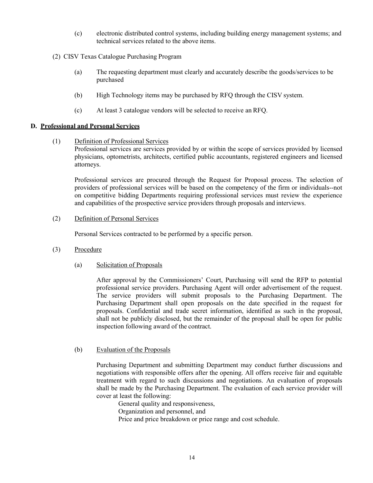- (c) electronic distributed control systems, including building energy management systems; and technical services related to the above items.
- (2) CISV Texas Catalogue Purchasing Program
	- (a) The requesting department must clearly and accurately describe the goods/services to be purchased
	- (b) High Technology items may be purchased by RFQ through the CISV system.
	- (c) At least 3 catalogue vendors will be selected to receive an RFQ.

#### **D. Professional and Personal Services**

(1) Definition of Professional Services

Professional services are services provided by or within the scope of services provided by licensed physicians, optometrists, architects, certified public accountants, registered engineers and licensed attorneys.

Professional services are procured through the Request for Proposal process. The selection of providers of professional services will be based on the competency of the firm or individuals--not on competitive bidding Departments requiring professional services must review the experience and capabilities of the prospective service providers through proposals and interviews.

(2) Definition of Personal Services

Personal Services contracted to be performed by a specific person.

- (3) Procedure
	- (a) Solicitation of Proposals

After approval by the Commissioners' Court, Purchasing will send the RFP to potential professional service providers. Purchasing Agent will order advertisement of the request. The service providers will submit proposals to the Purchasing Department. The Purchasing Department shall open proposals on the date specified in the request for proposals. Confidential and trade secret information, identified as such in the proposal, shall not be publicly disclosed, but the remainder of the proposal shall be open for public inspection following award of the contract.

#### (b) Evaluation of the Proposals

Purchasing Department and submitting Department may conduct further discussions and negotiations with responsible offers after the opening. All offers receive fair and equitable treatment with regard to such discussions and negotiations. An evaluation of proposals shall be made by the Purchasing Department. The evaluation of each service provider will cover at least the following:

General quality and responsiveness, Organization and personnel, and Price and price breakdown or price range and cost schedule.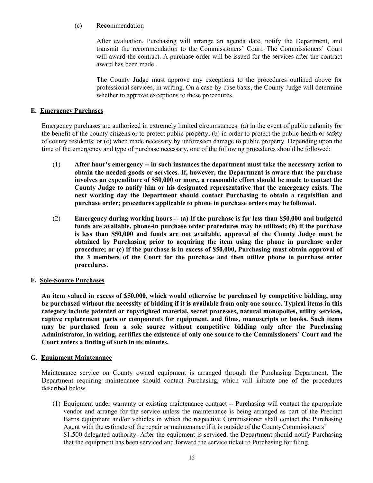# (c) Recommendation

After evaluation, Purchasing will arrange an agenda date, notify the Department, and transmit the recommendation to the Commissioners' Court. The Commissioners' Court will award the contract. A purchase order will be issued for the services after the contract award has been made.

The County Judge must approve any exceptions to the procedures outlined above for professional services, in writing. On a case-by-case basis, the County Judge will determine whether to approve exceptions to these procedures.

# **E. Emergency Purchases**

Emergency purchases are authorized in extremely limited circumstances: (a) in the event of public calamity for the benefit of the county citizens or to protect public property; (b) in order to protect the public health or safety of county residents; or (c) when made necessary by unforeseen damage to public property. Depending upon the time of the emergency and type of purchase necessary, one of the following procedures should be followed:

- (1) **After hour's emergency -- in such instances the department must take the necessary action to obtain the needed goods or services. If, however, the Department is aware that the purchase involves an expenditure of \$50,000 or more, a reasonable effort should be made to contact the County Judge to notify him or his designated representative that the emergency exists. The next working day the Department should contact Purchasing to obtain a requisition and purchase order; procedures applicable to phone in purchase orders may be followed.**
- (2) **Emergency during working hours -- (a) If the purchase is for less than \$50,000 and budgeted funds are available, phone-in purchase order procedures may be utilized; (b) if the purchase is less than \$50,000 and funds are not available, approval of the County Judge must be obtained by Purchasing prior to acquiring the item using the phone in purchase order procedure; or (c) if the purchase is in excess of \$50,000, Purchasing must obtain approval of the 3 members of the Court for the purchase and then utilize phone in purchase order procedures.**

# **F. Sole-Source Purchases**

**An item valued in excess of \$50,000, which would otherwise be purchased by competitive bidding, may be purchased without the necessity of bidding if it is available from only one source. Typical items in this category include patented or copyrighted material, secret processes, natural monopolies, utility services, captive replacement parts or components for equipment, and films, manuscripts or books. Such items may be purchased from a sole source without competitive bidding only after the Purchasing Administrator, in writing, certifies the existence of only one source to the Commissioners' Court and the Court enters a finding of such in its minutes.**

# **G. Equipment Maintenance**

Maintenance service on County owned equipment is arranged through the Purchasing Department. The Department requiring maintenance should contact Purchasing, which will initiate one of the procedures described below.

(1) Equipment under warranty or existing maintenance contract -- Purchasing will contact the appropriate vendor and arrange for the service unless the maintenance is being arranged as part of the Precinct Barns equipment and/or vehicles in which the respective Commissioner shall contact the Purchasing Agent with the estimate of the repair or maintenance if it is outside of the CountyCommissioners' \$1,500 delegated authority. After the equipment is serviced, the Department should notify Purchasing that the equipment has been serviced and forward the service ticket to Purchasing for filing.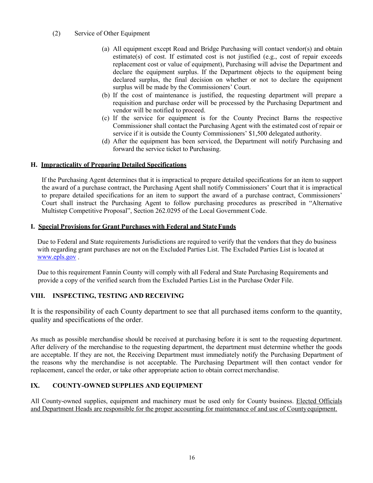# (2) Service of Other Equipment

- (a) All equipment except Road and Bridge Purchasing will contact vendor(s) and obtain estimate(s) of cost. If estimated cost is not justified (e.g., cost of repair exceeds replacement cost or value of equipment), Purchasing will advise the Department and declare the equipment surplus. If the Department objects to the equipment being declared surplus, the final decision on whether or not to declare the equipment surplus will be made by the Commissioners' Court.
- (b) If the cost of maintenance is justified, the requesting department will prepare a requisition and purchase order will be processed by the Purchasing Department and vendor will be notified to proceed.
- (c) If the service for equipment is for the County Precinct Barns the respective Commissioner shall contact the Purchasing Agent with the estimated cost of repair or service if it is outside the County Commissioners' \$1,500 delegated authority.
- (d) After the equipment has been serviced, the Department will notify Purchasing and forward the service ticket to Purchasing.

# **H. Impracticality of Preparing Detailed Specifications**

If the Purchasing Agent determines that it is impractical to prepare detailed specifications for an item to support the award of a purchase contract, the Purchasing Agent shall notify Commissioners' Court that it is impractical to prepare detailed specifications for an item to support the award of a purchase contract, Commissioners' Court shall instruct the Purchasing Agent to follow purchasing procedures as prescribed in "Alternative Multistep Competitive Proposal", Section 262.0295 of the Local Government Code.

# **I. Special Provisions for Grant Purchases with Federal and StateFunds**

Due to Federal and State requirements Jurisdictions are required to verify that the vendors that they do business with regarding grant purchases are not on the Excluded Parties List. The Excluded Parties List is located at [www.epls.gov](http://www.epls.gov/) .

Due to this requirement Fannin County will comply with all Federal and State Purchasing Requirements and provide a copy of the verified search from the Excluded Parties List in the Purchase Order File.

# **VIII. INSPECTING, TESTING AND RECEIVING**

It is the responsibility of each County department to see that all purchased items conform to the quantity, quality and specifications of the order.

As much as possible merchandise should be received at purchasing before it is sent to the requesting department. After delivery of the merchandise to the requesting department, the department must determine whether the goods are acceptable. If they are not, the Receiving Department must immediately notify the Purchasing Department of the reasons why the merchandise is not acceptable. The Purchasing Department will then contact vendor for replacement, cancel the order, or take other appropriate action to obtain correct merchandise.

# **IX. COUNTY-OWNED SUPPLIES AND EQUIPMENT**

All County-owned supplies, equipment and machinery must be used only for County business. Elected Officials and Department Heads are responsible for the proper accounting for maintenance of and use of Countyequipment.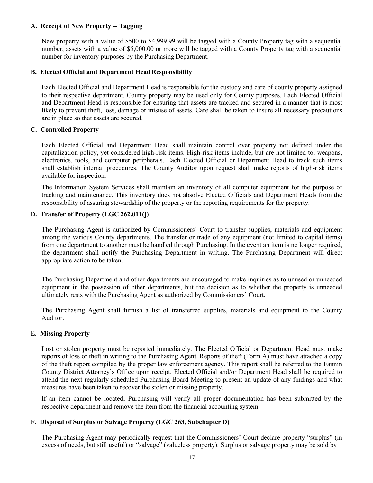# **A. Receipt of New Property -- Tagging**

New property with a value of \$500 to \$4,999.99 will be tagged with a County Property tag with a sequential number; assets with a value of \$5,000.00 or more will be tagged with a County Property tag with a sequential number for inventory purposes by the Purchasing Department.

# **B. Elected Official and Department HeadResponsibility**

Each Elected Official and Department Head is responsible for the custody and care of county property assigned to their respective department. County property may be used only for County purposes. Each Elected Official and Department Head is responsible for ensuring that assets are tracked and secured in a manner that is most likely to prevent theft, loss, damage or misuse of assets. Care shall be taken to insure all necessary precautions are in place so that assets are secured.

# **C. Controlled Property**

Each Elected Official and Department Head shall maintain control over property not defined under the capitalization policy, yet considered high-risk items. High-risk items include, but are not limited to, weapons, electronics, tools, and computer peripherals. Each Elected Official or Department Head to track such items shall establish internal procedures. The County Auditor upon request shall make reports of high-risk items available for inspection.

The Information System Services shall maintain an inventory of all computer equipment for the purpose of tracking and maintenance. This inventory does not absolve Elected Officials and Department Heads from the responsibility of assuring stewardship of the property or the reporting requirements for the property.

# **D. Transfer of Property (LGC 262.011(j)**

The Purchasing Agent is authorized by Commissioners' Court to transfer supplies, materials and equipment among the various County departments. The transfer or trade of any equipment (not limited to capital items) from one department to another must be handled through Purchasing. In the event an item is no longer required, the department shall notify the Purchasing Department in writing. The Purchasing Department will direct appropriate action to be taken.

The Purchasing Department and other departments are encouraged to make inquiries as to unused or unneeded equipment in the possession of other departments, but the decision as to whether the property is unneeded ultimately rests with the Purchasing Agent as authorized by Commissioners' Court.

The Purchasing Agent shall furnish a list of transferred supplies, materials and equipment to the County Auditor.

# **E. Missing Property**

Lost or stolen property must be reported immediately. The Elected Official or Department Head must make reports of loss or theft in writing to the Purchasing Agent. Reports of theft (Form A) must have attached a copy of the theft report compiled by the proper law enforcement agency. This report shall be referred to the Fannin County District Attorney's Office upon receipt. Elected Official and/or Department Head shall be required to attend the next regularly scheduled Purchasing Board Meeting to present an update of any findings and what measures have been taken to recover the stolen or missing property.

If an item cannot be located, Purchasing will verify all proper documentation has been submitted by the respective department and remove the item from the financial accounting system.

# **F. Disposal of Surplus or Salvage Property (LGC 263, Subchapter D)**

The Purchasing Agent may periodically request that the Commissioners' Court declare property "surplus" (in excess of needs, but still useful) or "salvage" (valueless property). Surplus or salvage property may be sold by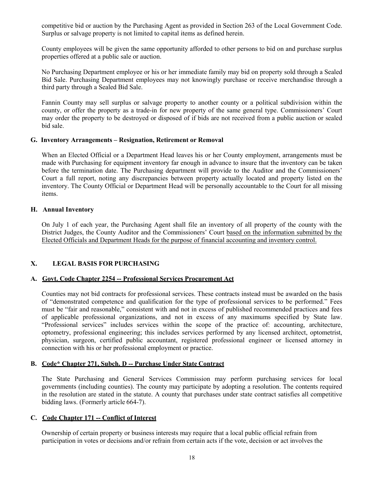competitive bid or auction by the Purchasing Agent as provided in Section 263 of the Local Government Code. Surplus or salvage property is not limited to capital items as defined herein.

County employees will be given the same opportunity afforded to other persons to bid on and purchase surplus properties offered at a public sale or auction.

No Purchasing Department employee or his or her immediate family may bid on property sold through a Sealed Bid Sale. Purchasing Department employees may not knowingly purchase or receive merchandise through a third party through a Sealed Bid Sale.

Fannin County may sell surplus or salvage property to another county or a political subdivision within the county, or offer the property as a trade-in for new property of the same general type. Commissioners' Court may order the property to be destroyed or disposed of if bids are not received from a public auction or sealed bid sale.

# **G. Inventory Arrangements – Resignation, Retirement or Removal**

When an Elected Official or a Department Head leaves his or her County employment, arrangements must be made with Purchasing for equipment inventory far enough in advance to insure that the inventory can be taken before the termination date. The Purchasing department will provide to the Auditor and the Commissioners' Court a full report, noting any discrepancies between property actually located and property listed on the inventory. The County Official or Department Head will be personally accountable to the Court for all missing items.

# **H. Annual Inventory**

On July 1 of each year, the Purchasing Agent shall file an inventory of all property of the county with the District Judges, the County Auditor and the Commissioners' Court based on the information submitted by the Elected Officials and Department Heads for the purpose of financial accounting and inventory control.

# **X. LEGAL BASIS FOR PURCHASING**

# **A. Govt. Code Chapter 2254 -- Professional Services Procurement Act**

Counties may not bid contracts for professional services. These contracts instead must be awarded on the basis of "demonstrated competence and qualification for the type of professional services to be performed." Fees must be "fair and reasonable," consistent with and not in excess of published recommended practices and fees of applicable professional organizations, and not in excess of any maximums specified by State law. "Professional services" includes services within the scope of the practice of: accounting, architecture, optometry, professional engineering; this includes services performed by any licensed architect, optometrist, physician, surgeon, certified public accountant, registered professional engineer or licensed attorney in connection with his or her professional employment or practice.

#### **B. Code\* Chapter 271, Subch. D -- Purchase Under State Contract**

The State Purchasing and General Services Commission may perform purchasing services for local governments (including counties). The county may participate by adopting a resolution. The contents required in the resolution are stated in the statute. A county that purchases under state contract satisfies all competitive bidding laws. (Formerly article 664-7).

# **C. Code Chapter 171 -- Conflict of Interest**

Ownership of certain property or business interests may require that a local public official refrain from participation in votes or decisions and/or refrain from certain acts if the vote, decision or act involves the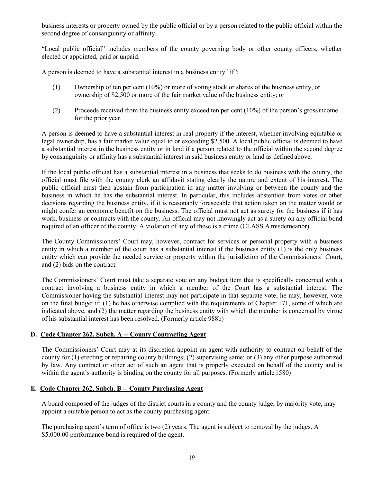business interests or property owned by the public official or by a person related to the public official within the second degree of consanguinity or affinity.

"Local public official" includes members of the county governing body or other county officers, whether elected or appointed, paid or unpaid.

A person is deemed to have a substantial interest in a business entity" if":

- (1) Ownership of ten per cent (10%) or more of voting stock or shares of the business entity, or ownership of \$2,500 or more of the fair market value of the business entity; or
- (2) Proceeds received from the business entity exceed ten per cent (10%) of the person's grossincome for the prior year.

A person is deemed to have a substantial interest in real property if the interest, whether involving equitable or legal ownership, has a fair market value equal to or exceeding \$2,500. A local public official is deemed to have a substantial interest in the business entity or in land if a person related to the official within the second degree by consanguinity or affinity has a substantial interest in said business entity or land as definedabove.

If the local public official has a substantial interest in a business that seeks to do business with the county, the official must file with the county clerk an affidavit stating clearly the nature and extent of his interest. The public official must then abstain from participation in any matter involving or between the county and the business in which he has the substantial interest. In particular, this includes abstention from votes or other decisions regarding the business entity, if it is reasonably foreseeable that action taken on the matter would or might confer an economic benefit on the business. The official must not act as surety for the business if it has work, business or contracts with the county. An official may not knowingly act as a surety on any official bond required of an officer of the county. A violation of any of these is a crime (CLASS A misdemeanor).

The County Commissioners' Court may, however, contract for services or personal property with a business entity in which a member of the court has a substantial interest if the business entity (1) is the only business entity which can provide the needed service or property within the jurisdiction of the Commissioners' Court, and (2) bids on the contract.

The Commissioners' Court must take a separate vote on any budget item that is specifically concerned with a contract involving a business entity in which a member of the Court has a substantial interest. The Commissioner having the substantial interest may not participate in that separate vote; he may, however, vote on the final budget if: (1) he has otherwise complied with the requirements of Chapter 171, some of which are indicated above, and (2) the matter regarding the business entity with which the member is concerned by virtue of his substantial interest has been resolved. (Formerly article 988b)

# **D. Code Chapter 262, Subch. A -- County Contracting Agent**

The Commissioners' Court may at its discretion appoint an agent with authority to contract on behalf of the county for (1) erecting or repairing county buildings; (2) supervising same; or (3) any other purpose authorized by law. Any contract or other act of such an agent that is properly executed on behalf of the county and is within the agent's authority is binding on the county for all purposes. (Formerly article 1580)

# **E. Code Chapter 262, Subch. B -- County Purchasing Agent**

A board composed of the judges of the district courts in a county and the county judge, by majority vote, may appoint a suitable person to act as the county purchasing agent.

The purchasing agent's term of office is two (2) years. The agent is subject to removal by the judges. A \$5,000.00 performance bond is required of the agent.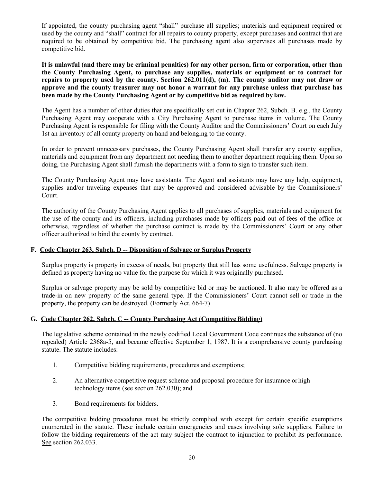If appointed, the county purchasing agent "shall" purchase all supplies; materials and equipment required or used by the county and "shall" contract for all repairs to county property, except purchases and contract that are required to be obtained by competitive bid. The purchasing agent also supervises all purchases made by competitive bid.

**It is unlawful (and there may be criminal penalties) for any other person, firm or corporation, other than the County Purchasing Agent, to purchase any supplies, materials or equipment or to contract for repairs to property used by the county. Section 262.011(d), (m). The county auditor may not draw or approve and the county treasurer may not honor a warrant for any purchase unless that purchase has been made by the County Purchasing Agent or by competitive bid as required by law.**

The Agent has a number of other duties that are specifically set out in Chapter 262, Subch. B. e.g., the County Purchasing Agent may cooperate with a City Purchasing Agent to purchase items in volume. The County Purchasing Agent is responsible for filing with the County Auditor and the Commissioners' Court on each July 1st an inventory of all county property on hand and belonging to the county.

In order to prevent unnecessary purchases, the County Purchasing Agent shall transfer any county supplies, materials and equipment from any department not needing them to another department requiring them. Upon so doing, the Purchasing Agent shall furnish the departments with a form to sign to transfer such item.

The County Purchasing Agent may have assistants. The Agent and assistants may have any help, equipment, supplies and/or traveling expenses that may be approved and considered advisable by the Commissioners' Court.

The authority of the County Purchasing Agent applies to all purchases of supplies, materials and equipment for the use of the county and its officers, including purchases made by officers paid out of fees of the office or otherwise, regardless of whether the purchase contract is made by the Commissioners' Court or any other officer authorized to bind the county by contract.

# **F. Code Chapter 263, Subch. D -- Disposition of Salvage or Surplus Property**

Surplus property is property in excess of needs, but property that still has some usefulness. Salvage property is defined as property having no value for the purpose for which it was originally purchased.

Surplus or salvage property may be sold by competitive bid or may be auctioned. It also may be offered as a trade-in on new property of the same general type. If the Commissioners' Court cannot sell or trade in the property, the property can be destroyed. (Formerly Act. 664-7)

# **G. Code Chapter 262, Subch. C -- County Purchasing Act (Competitive Bidding)**

The legislative scheme contained in the newly codified Local Government Code continues the substance of (no repealed) Article 2368a-5, and became effective September 1, 1987. It is a comprehensive county purchasing statute. The statute includes:

- 1. Competitive bidding requirements, procedures and exemptions;
- 2. An alternative competitive request scheme and proposal procedure for insurance orhigh technology items (see section 262.030); and
- 3. Bond requirements for bidders.

The competitive bidding procedures must be strictly complied with except for certain specific exemptions enumerated in the statute. These include certain emergencies and cases involving sole suppliers. Failure to follow the bidding requirements of the act may subject the contract to injunction to prohibit its performance. See section 262.033.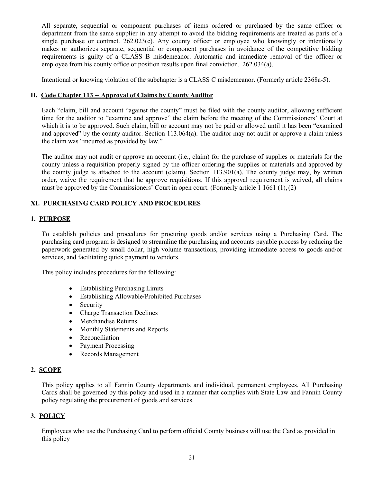All separate, sequential or component purchases of items ordered or purchased by the same officer or department from the same supplier in any attempt to avoid the bidding requirements are treated as parts of a single purchase or contract. 262.023(c). Any county officer or employee who knowingly or intentionally makes or authorizes separate, sequential or component purchases in avoidance of the competitive bidding requirements is guilty of a CLASS B misdemeanor. Automatic and immediate removal of the officer or employee from his county office or position results upon final conviction. 262.034(a).

Intentional or knowing violation of the subchapter is a CLASS C misdemeanor. (Formerly article 2368a-5).

# **H. Code Chapter 113 -- Approval of Claims by County Auditor**

Each "claim, bill and account "against the county" must be filed with the county auditor, allowing sufficient time for the auditor to "examine and approve" the claim before the meeting of the Commissioners' Court at which it is to be approved. Such claim, bill or account may not be paid or allowed until it has been "examined and approved" by the county auditor. Section 113.064(a). The auditor may not audit or approve a claim unless the claim was "incurred as provided by law."

The auditor may not audit or approve an account (i.e., claim) for the purchase of supplies or materials for the county unless a requisition properly signed by the officer ordering the supplies or materials and approved by the county judge is attached to the account (claim). Section 113.901(a). The county judge may, by written order, waive the requirement that he approve requisitions. If this approval requirement is waived, all claims must be approved by the Commissioners' Court in open court. (Formerly article 1 1661 (1),(2)

# **XI. PURCHASING CARD POLICY AND PROCEDURES**

# **1. PURPOSE**

To establish policies and procedures for procuring goods and/or services using a Purchasing Card. The purchasing card program is designed to streamline the purchasing and accounts payable process by reducing the paperwork generated by small dollar, high volume transactions, providing immediate access to goods and/or services, and facilitating quick payment to vendors.

This policy includes procedures for the following:

- Establishing Purchasing Limits
- Establishing Allowable/Prohibited Purchases
- Security
- Charge Transaction Declines
- Merchandise Returns
- Monthly Statements and Reports
- Reconciliation
- Payment Processing
- Records Management

# **2. SCOPE**

This policy applies to all Fannin County departments and individual, permanent employees. All Purchasing Cards shall be governed by this policy and used in a manner that complies with State Law and Fannin County policy regulating the procurement of goods and services.

# **3. POLICY**

Employees who use the Purchasing Card to perform official County business will use the Card as provided in this policy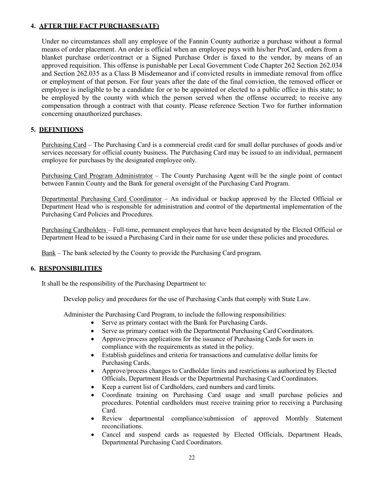# **4. AFTER THE FACT PURCHASES (ATF)**

Under no circumstances shall any employee of the Fannin County authorize a purchase without a formal means of order placement. An order is official when an employee pays with his/her ProCard, orders from a blanket purchase order/contract or a Signed Purchase Order is faxed to the vendor, by means of an approved requisition. This offense is punishable per Local Government Code Chapter 262 Section 262.034 and Section 262.035 as a Class B Misdemeanor and if convicted results in immediate removal from office or employment of that person. For four years after the date of the final conviction, the removed officer or employee is ineligible to be a candidate for or to be appointed or elected to a public office in this state; to be employed by the county with which the person served when the offense occurred; to receive any compensation through a contract with that county. Please reference Section Two for further information concerning unauthorized purchases.

# **5. DEFINITIONS**

Purchasing Card – The Purchasing Card is a commercial credit card for small dollar purchases of goods and/or services necessary for official county business. The Purchasing Card may be issued to an individual, permanent employee for purchases by the designated employee only.

Purchasing Card Program Administrator – The County Purchasing Agent will be the single point of contact between Fannin County and the Bank for general oversight of the Purchasing Card Program.

Departmental Purchasing Card Coordinator – An individual or backup approved by the Elected Official or Department Head who is responsible for administration and control of the departmental implementation of the Purchasing Card Policies and Procedures.

Purchasing Cardholders – Full-time, permanent employees that have been designated by the Elected Official or Department Head to be issued a Purchasing Card in their name for use under these policies and procedures.

Bank – The bank selected by the County to provide the Purchasing Card program.

# **6. RESPONSIBILITIES**

It shall be the responsibility of the Purchasing Department to:

Develop policy and procedures for the use of Purchasing Cards that comply with State Law.

Administer the Purchasing Card Program, to include the following responsibilities:

- Serve as primary contact with the Bank for Purchasing Cards.
- Serve as primary contact with the Departmental Purchasing Card Coordinators.
- Approve/process applications for the issuance of Purchasing Cards for users in compliance with the requirements as stated in the policy.
- Establish guidelines and criteria for transactions and cumulative dollar limits for Purchasing Cards.
- Approve/process changes to Cardholder limits and restrictions as authorized by Elected Officials, Department Heads or the Departmental Purchasing Card Coordinators.
- Keep a current list of Cardholders, card numbers and card limits.
- Coordinate training on Purchasing Card usage and small purchase policies and procedures. Potential cardholders must receive training prior to receiving a Purchasing Card.
- Review departmental compliance/submission of approved Monthly Statement reconciliations.
- Cancel and suspend cards as requested by Elected Officials, Department Heads, Departmental Purchasing Card Coordinators.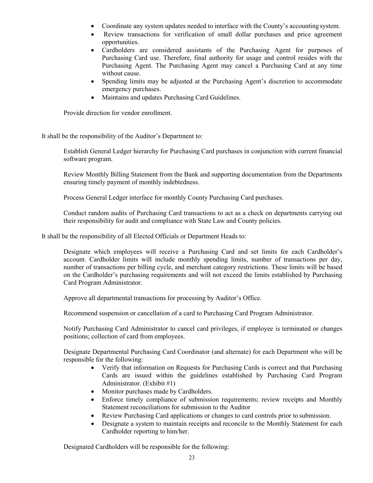- Coordinate any system updates needed to interface with the County's accounting system.
- Review transactions for verification of small dollar purchases and price agreement opportunities.
- Cardholders are considered assistants of the Purchasing Agent for purposes of Purchasing Card use. Therefore, final authority for usage and control resides with the Purchasing Agent. The Purchasing Agent may cancel a Purchasing Card at any time without cause.
- Spending limits may be adjusted at the Purchasing Agent's discretion to accommodate emergency purchases.
- Maintains and updates Purchasing Card Guidelines.

Provide direction for vendor enrollment.

It shall be the responsibility of the Auditor's Department to:

Establish General Ledger hierarchy for Purchasing Card purchases in conjunction with current financial software program.

Review Monthly Billing Statement from the Bank and supporting documentation from the Departments ensuring timely payment of monthly indebtedness.

Process General Ledger interface for monthly County Purchasing Card purchases.

Conduct random audits of Purchasing Card transactions to act as a check on departments carrying out their responsibility for audit and compliance with State Law and County policies.

It shall be the responsibility of all Elected Officials or Department Heads to:

Designate which employees will receive a Purchasing Card and set limits for each Cardholder's account. Cardholder limits will include monthly spending limits, number of transactions per day, number of transactions per billing cycle, and merchant category restrictions. These limits will be based on the Cardholder's purchasing requirements and will not exceed the limits established by Purchasing Card Program Administrator.

Approve all departmental transactions for processing by Auditor's Office.

Recommend suspension or cancellation of a card to Purchasing Card Program Administrator.

Notify Purchasing Card Administrator to cancel card privileges, if employee is terminated or changes positions; collection of card from employees.

Designate Departmental Purchasing Card Coordinator (and alternate) for each Department who will be responsible for the following:

- Verify that information on Requests for Purchasing Cards is correct and that Purchasing Cards are issued within the guidelines established by Purchasing Card Program Administrator. (Exhibit #1)
- Monitor purchases made by Cardholders.
- Enforce timely compliance of submission requirements; review receipts and Monthly Statement reconciliations for submission to the Auditor
- Review Purchasing Card applications or changes to card controls prior to submission.
- Designate a system to maintain receipts and reconcile to the Monthly Statement for each Cardholder reporting to him/her.

Designated Cardholders will be responsible for the following: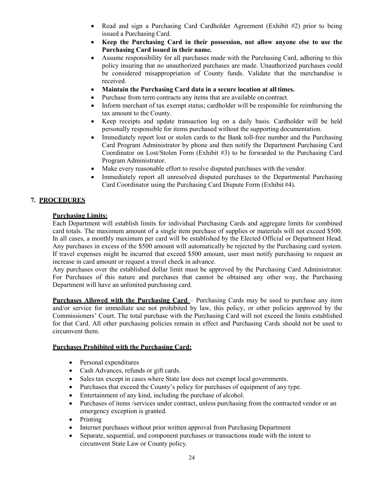- Read and sign a Purchasing Card Cardholder Agreement (Exhibit #2) prior to being issued a Purchasing Card.
- **Keep the Purchasing Card in their possession, not allow anyone else to use the Purchasing Card issued in their name.**
- Assume responsibility for all purchases made with the Purchasing Card, adhering to this policy insuring that no unauthorized purchases are made. Unauthorized purchases could be considered misappropriation of County funds. Validate that the merchandise is received.
- **Maintain the Purchasing Card data in a secure location at all times.**
- Purchase from term contracts any items that are available on contract.
- Inform merchant of tax exempt status; cardholder will be responsible for reimbursing the tax amount to the County.
- Keep receipts and update transaction log on a daily basis. Cardholder will be held personally responsible for items purchased without the supporting documentation.
- Immediately report lost or stolen cards to the Bank toll-free number and the Purchasing Card Program Administrator by phone and then notify the Department Purchasing Card Coordinator on Lost/Stolen Form (Exhibit #3) to be forwarded to the Purchasing Card Program Administrator.
- Make every reasonable effort to resolve disputed purchases with the vendor.
- Immediately report all unresolved disputed purchases to the Departmental Purchasing Card Coordinator using the Purchasing Card Dispute Form (Exhibit #4).

# **7. PROCEDURES**

# **Purchasing Limits:**

Each Department will establish limits for individual Purchasing Cards and aggregate limits for combined card totals. The maximum amount of a single item purchase of supplies or materials will not exceed \$500. In all cases, a monthly maximum per card will be established by the Elected Official or Department Head. Any purchases in excess of the \$500 amount will automatically be rejected by the Purchasing card system. If travel expenses might be incurred that exceed \$500 amount, user must notify purchasing to request an increase in card amount or request a travel check in advance.

Any purchases over the established dollar limit must be approved by the Purchasing Card Administrator. For Purchases of this nature and purchases that cannot be obtained any other way, the Purchasing Department will have an unlimited purchasing card.

**Purchases Allowed with the Purchasing Card** – Purchasing Cards may be used to purchase any item and/or service for immediate use not prohibited by law, this policy, or other policies approved by the Commissioners' Court. The total purchase with the Purchasing Card will not exceed the limits established for that Card. All other purchasing policies remain in effect and Purchasing Cards should not be used to circumvent them.

# **Purchases Prohibited with the Purchasing Card:**

- Personal expenditures
- Cash Advances, refunds or gift cards.
- Sales tax except in cases where State law does not exempt local governments.
- Purchases that exceed the County's policy for purchases of equipment of any type.
- Entertainment of any kind, including the purchase of alcohol.
- Purchases of items /services under contract, unless purchasing from the contracted vendor or an emergency exception is granted.
- Printing
- Internet purchases without prior written approval from Purchasing Department
- Separate, sequential, and component purchases or transactions made with the intent to circumvent State Law or County policy.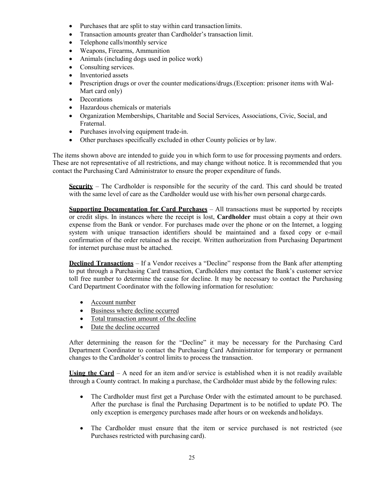- Purchases that are split to stay within card transaction limits.
- Transaction amounts greater than Cardholder's transaction limit.
- Telephone calls/monthly service
- Weapons, Firearms, Ammunition
- Animals (including dogs used in police work)
- Consulting services.
- Inventoried assets
- Prescription drugs or over the counter medications/drugs.(Exception: prisoner items with Wal-Mart card only)
- Decorations
- Hazardous chemicals or materials
- Organization Memberships, Charitable and Social Services, Associations, Civic, Social, and Fraternal.
- Purchases involving equipment trade-in.
- Other purchases specifically excluded in other County policies or by law.

The items shown above are intended to guide you in which form to use for processing payments and orders. These are not representative of all restrictions, and may change without notice. It is recommended that you contact the Purchasing Card Administrator to ensure the proper expenditure of funds.

**Security** – The Cardholder is responsible for the security of the card. This card should be treated with the same level of care as the Cardholder would use with his/her own personal charge cards.

**Supporting Documentation for Card Purchases** – All transactions must be supported by receipts or credit slips. In instances where the receipt is lost, **Cardholder** must obtain a copy at their own expense from the Bank or vendor. For purchases made over the phone or on the Internet, a logging system with unique transaction identifiers should be maintained and a faxed copy or e-mail confirmation of the order retained as the receipt. Written authorization from Purchasing Department for internet purchase must be attached.

**Declined Transactions** – If a Vendor receives a "Decline" response from the Bank after attempting to put through a Purchasing Card transaction, Cardholders may contact the Bank's customer service toll free number to determine the cause for decline. It may be necessary to contact the Purchasing Card Department Coordinator with the following information for resolution:

- Account number
- Business where decline occurred
- Total transaction amount of the decline
- Date the decline occurred

After determining the reason for the "Decline" it may be necessary for the Purchasing Card Department Coordinator to contact the Purchasing Card Administrator for temporary or permanent changes to the Cardholder's control limits to process the transaction.

**Using the Card** – A need for an item and/or service is established when it is not readily available through a County contract. In making a purchase, the Cardholder must abide by the following rules:

- The Cardholder must first get a Purchase Order with the estimated amount to be purchased. After the purchase is final the Purchasing Department is to be notified to update PO. The only exception is emergency purchases made after hours or on weekends and holidays.
- The Cardholder must ensure that the item or service purchased is not restricted (see Purchases restricted with purchasing card).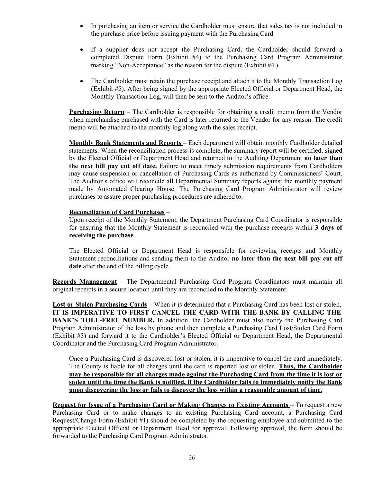- In purchasing an item or service the Cardholder must ensure that sales tax is not included in the purchase price before issuing payment with the Purchasing Card.
- If a supplier does not accept the Purchasing Card, the Cardholder should forward a completed Dispute Form (Exhibit #4) to the Purchasing Card Program Administrator marking "Non-Acceptance" as the reason for the dispute (Exhibit #4.)
- The Cardholder must retain the purchase receipt and attach it to the Monthly Transaction Log (Exhibit #5). After being signed by the appropriate Elected Official or Department Head, the Monthly Transaction Log, will then be sent to the Auditor's office.

**Purchasing Return** – The Cardholder is responsible for obtaining a credit memo from the Vendor when merchandise purchased with the Card is later returned to the Vendor for any reason. The credit memo will be attached to the monthly log along with the sales receipt.

**Monthly Bank Statements and Reports** – Each department will obtain monthly Cardholder detailed statements. When the reconciliation process is complete, the summary report will be certified, signed by the Elected Official or Department Head and returned to the Auditing Department **no later than the next bill pay cut off date.** Failure to meet timely submission requirements from Cardholders may cause suspension or cancellation of Purchasing Cards as authorized by Commissioners' Court. The Auditor's office will reconcile all Departmental Summary reports against the monthly payment made by Automated Clearing House. The Purchasing Card Program Administrator will review purchases to assure proper purchasing procedures are adhered to.

#### **Reconciliation of Card Purchases** –

Upon receipt of the Monthly Statement, the Department Purchasing Card Coordinator is responsible for ensuring that the Monthly Statement is reconciled with the purchase receipts within **3 days of receiving the purchase**.

The Elected Official or Department Head is responsible for reviewing receipts and Monthly Statement reconciliations and sending them to the Auditor **no later than the next bill pay cut off date** after the end of the billing cycle.

**Records Management** – The Departmental Purchasing Card Program Coordinators must maintain all original receipts in a secure location until they are reconciled to the Monthly Statement.

**Lost or Stolen Purchasing Cards** – When it is determined that a Purchasing Card has been lost or stolen, **IT IS IMPERATIVE TO FIRST CANCEL THE CARD WITH THE BANK BY CALLING THE BANK'S TOLL-FREE NUMBER.** In addition, the Cardholder must also notify the Purchasing Card Program Administrator of the loss by phone and then complete a Purchasing Card Lost/Stolen Card Form (Exhibit #3) and forward it to the Cardholder's Elected Official or Department Head, the Departmental Coordinator and the Purchasing Card Program Administrator.

Once a Purchasing Card is discovered lost or stolen, it is imperative to cancel the card immediately. The County is liable for all charges until the card is reported lost or stolen. **Thus, the Cardholder may be responsible for all charges made against the Purchasing Card from the time it is lost or stolen until the time the Bank is notified, if the Cardholder fails to immediately notify the Bank upon discovering the loss or fails to discover the loss within a reasonable amount of time.**

**Request for Issue of a Purchasing Card or Making Changes to Existing Accounts** – To request a new Purchasing Card or to make changes to an existing Purchasing Card account, a Purchasing Card Request/Change Form (Exhibit #1) should be completed by the requesting employee and submitted to the appropriate Elected Official or Department Head for approval. Following approval, the form should be forwarded to the Purchasing Card Program Administrator.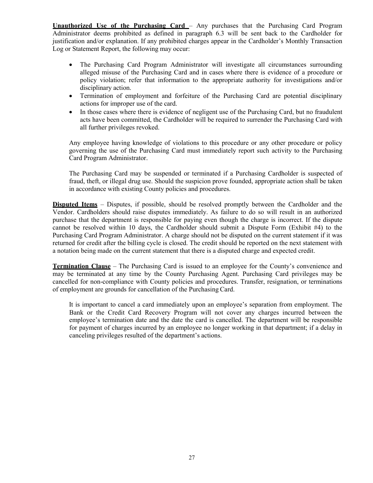**Unauthorized Use of the Purchasing Card** – Any purchases that the Purchasing Card Program Administrator deems prohibited as defined in paragraph 6.3 will be sent back to the Cardholder for justification and/or explanation. If any prohibited charges appear in the Cardholder's Monthly Transaction Log or Statement Report, the following may occur:

- The Purchasing Card Program Administrator will investigate all circumstances surrounding alleged misuse of the Purchasing Card and in cases where there is evidence of a procedure or policy violation; refer that information to the appropriate authority for investigations and/or disciplinary action.
- Termination of employment and forfeiture of the Purchasing Card are potential disciplinary actions for improper use of the card.
- In those cases where there is evidence of negligent use of the Purchasing Card, but no fraudulent acts have been committed, the Cardholder will be required to surrender the Purchasing Card with all further privileges revoked.

Any employee having knowledge of violations to this procedure or any other procedure or policy governing the use of the Purchasing Card must immediately report such activity to the Purchasing Card Program Administrator.

The Purchasing Card may be suspended or terminated if a Purchasing Cardholder is suspected of fraud, theft, or illegal drug use. Should the suspicion prove founded, appropriate action shall be taken in accordance with existing County policies and procedures.

**Disputed Items** – Disputes, if possible, should be resolved promptly between the Cardholder and the Vendor. Cardholders should raise disputes immediately. As failure to do so will result in an authorized purchase that the department is responsible for paying even though the charge is incorrect. If the dispute cannot be resolved within 10 days, the Cardholder should submit a Dispute Form (Exhibit #4) to the Purchasing Card Program Administrator. A charge should not be disputed on the current statement if it was returned for credit after the billing cycle is closed. The credit should be reported on the next statement with a notation being made on the current statement that there is a disputed charge and expected credit.

**Termination Clause** – The Purchasing Card is issued to an employee for the County's convenience and may be terminated at any time by the County Purchasing Agent. Purchasing Card privileges may be cancelled for non-compliance with County policies and procedures. Transfer, resignation, or terminations of employment are grounds for cancellation of the Purchasing Card.

It is important to cancel a card immediately upon an employee's separation from employment. The Bank or the Credit Card Recovery Program will not cover any charges incurred between the employee's termination date and the date the card is cancelled. The department will be responsible for payment of charges incurred by an employee no longer working in that department; if a delay in canceling privileges resulted of the department's actions.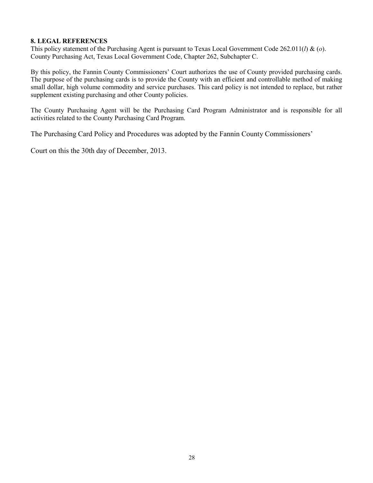# **8. LEGAL REFERENCES**

This policy statement of the Purchasing Agent is pursuant to Texas Local Government Code 262.011(*l*) & (*o*). County Purchasing Act, Texas Local Government Code, Chapter 262, Subchapter C.

By this policy, the Fannin County Commissioners' Court authorizes the use of County provided purchasing cards. The purpose of the purchasing cards is to provide the County with an efficient and controllable method of making small dollar, high volume commodity and service purchases. This card policy is not intended to replace, but rather supplement existing purchasing and other County policies.

The County Purchasing Agent will be the Purchasing Card Program Administrator and is responsible for all activities related to the County Purchasing Card Program.

The Purchasing Card Policy and Procedures was adopted by the Fannin County Commissioners'

Court on this the 30th day of December, 2013.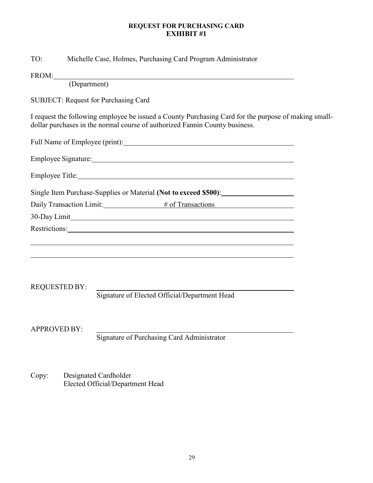# **REQUEST FOR PURCHASING CARD EXHIBIT #1**

| TO:                  | Michelle Case, Holmes, Purchasing Card Program Administrator                                                                                                                                                                   |  |
|----------------------|--------------------------------------------------------------------------------------------------------------------------------------------------------------------------------------------------------------------------------|--|
|                      | FROM:                                                                                                                                                                                                                          |  |
|                      | (Department)                                                                                                                                                                                                                   |  |
|                      | <b>SUBJECT: Request for Purchasing Card</b>                                                                                                                                                                                    |  |
|                      | I request the following employee be issued a County Purchasing Card for the purpose of making small-<br>dollar purchases in the normal course of authorized Fannin County business.                                            |  |
|                      |                                                                                                                                                                                                                                |  |
|                      |                                                                                                                                                                                                                                |  |
|                      | Employee Title: Note: Note: Note: Note: Note: Note: Note: Note: Note: Note: Note: Note: Note: Note: Note: Note: Note: Note: Note: Note: Note: Note: Note: Note: Note: Note: Note: Note: Note: Note: Note: Note: Note: Note: No |  |
|                      | Single Item Purchase-Supplies or Material (Not to exceed \$500):                                                                                                                                                               |  |
|                      | Daily Transaction Limit: # of Transactions                                                                                                                                                                                     |  |
|                      |                                                                                                                                                                                                                                |  |
|                      | Restrictions: Network of the Contract of the Contract of the Contract of the Contract of the Contract of the Contract of the Contract of the Contract of the Contract of the Contract of the Contract of the Contract of the C |  |
|                      |                                                                                                                                                                                                                                |  |
|                      | ,我们也不能在这里的时候,我们也不能在这里的时候,我们也不能会在这里的时候,我们也不能会在这里的时候,我们也不能会在这里的时候,我们也不能会在这里的时候,我们也                                                                                                                                               |  |
|                      |                                                                                                                                                                                                                                |  |
| <b>REQUESTED BY:</b> |                                                                                                                                                                                                                                |  |
|                      | Signature of Elected Official/Department Head                                                                                                                                                                                  |  |
|                      |                                                                                                                                                                                                                                |  |
| <b>APPROVED BY:</b>  |                                                                                                                                                                                                                                |  |
|                      | Signature of Purchasing Card Administrator                                                                                                                                                                                     |  |
|                      |                                                                                                                                                                                                                                |  |
|                      |                                                                                                                                                                                                                                |  |

Copy: Designated Cardholder Elected Official/Department Head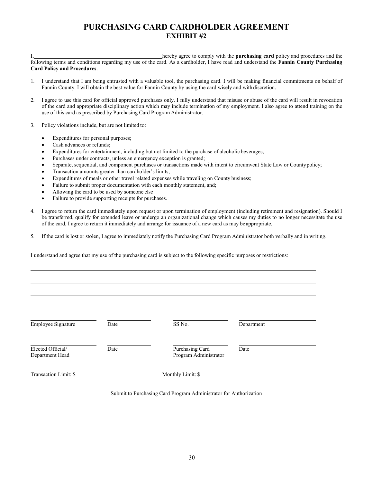# **PURCHASING CARD CARDHOLDER AGREEMENT EXHIBIT #2**

I, hereby agree to comply with the **purchasing card** policy and procedures and the following terms and conditions regarding my use of the card. As a cardholder, I have read and understand the **Fannin County Purchasing Card Policy and Procedures**.

- 1. I understand that I am being entrusted with a valuable tool, the purchasing card. I will be making financial commitments on behalf of Fannin County. I will obtain the best value for Fannin County by using the card wisely and with discretion.
- 2. I agree to use this card for official approved purchases only. I fully understand that misuse or abuse of the card will result in revocation of the card and appropriate disciplinary action which may include termination of my employment. I also agree to attend training on the use of this card as prescribed by Purchasing Card Program Administrator.
- 3. Policy violations include, but are not limited to:
	- Expenditures for personal purposes;
	- Cash advances or refunds;
	- Expenditures for entertainment, including but not limited to the purchase of alcoholic beverages;
	- Purchases under contracts, unless an emergency exception is granted;
	- Separate, sequential, and component purchases or transactions made with intent to circumvent State Law or Countypolicy;
	- Transaction amounts greater than cardholder's limits;
	- Expenditures of meals or other travel related expenses while traveling on County business;
	- Failure to submit proper documentation with each monthly statement, and;
	- Allowing the card to be used by someone else
	- Failure to provide supporting receipts for purchases.
- 4. I agree to return the card immediately upon request or upon termination of employment (including retirement and resignation). Should I be transferred, qualify for extended leave or undergo an organizational change which causes my duties to no longer necessitate the use of the card, I agree to return it immediately and arrange for issuance of a new card as may be appropriate.
- 5. If the card is lost or stolen, I agree to immediately notify the Purchasing Card Program Administrator both verbally and in writing.

I understand and agree that my use of the purchasing card is subject to the following specific purposes or restrictions:

| Employee Signature                   | Date | SS No.                                   | Department |
|--------------------------------------|------|------------------------------------------|------------|
| Elected Official/<br>Department Head | Date | Purchasing Card<br>Program Administrator | Date       |
| Transaction Limit: \$                |      | Monthly Limit: \$                        |            |

Submit to Purchasing Card Program Administrator for Authorization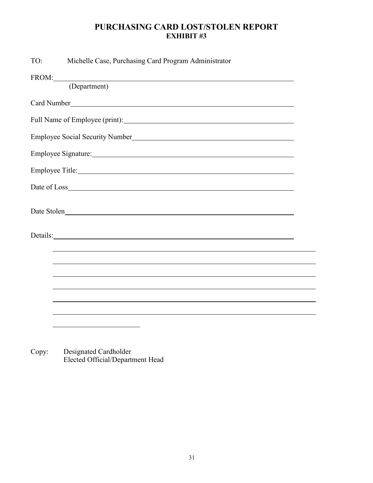# **PURCHASING CARD LOST/STOLEN REPORT EXHIBIT #3**

| TO:<br>Michelle Case, Purchasing Card Program Administrator                                                                                                                                                                    |
|--------------------------------------------------------------------------------------------------------------------------------------------------------------------------------------------------------------------------------|
| FROM:                                                                                                                                                                                                                          |
| (Department)                                                                                                                                                                                                                   |
|                                                                                                                                                                                                                                |
|                                                                                                                                                                                                                                |
| Employee Social Security Number                                                                                                                                                                                                |
| Employee Signature: 1988 and 1989 and 1989 and 1989 and 1989 and 1989 and 1989 and 1989 and 1989 and 1989 and 1989 and 1989 and 1989 and 1989 and 1989 and 1989 and 1989 and 1989 and 1989 and 1989 and 1989 and 1989 and 1989 |
|                                                                                                                                                                                                                                |
|                                                                                                                                                                                                                                |
| Date Stolen                                                                                                                                                                                                                    |
|                                                                                                                                                                                                                                |
|                                                                                                                                                                                                                                |
| ,我们也不会有什么。""我们的人,我们也不会有什么?""我们的人,我们也不会有什么?""我们的人,我们也不会有什么?""我们的人,我们也不会有什么?""我们的人                                                                                                                                               |
|                                                                                                                                                                                                                                |
|                                                                                                                                                                                                                                |
|                                                                                                                                                                                                                                |
|                                                                                                                                                                                                                                |

Copy: Designated Cardholder Elected Official/Department Head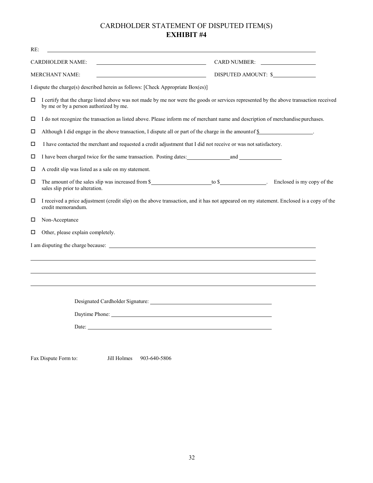# CARDHOLDER STATEMENT OF DISPUTED ITEM(S) **EXHIBIT #4**

| RE: | <u> 1980 - John Stein, Amerikaansk politiker († 1908)</u>                                                                                                                        |
|-----|----------------------------------------------------------------------------------------------------------------------------------------------------------------------------------|
|     | <b>CARDHOLDER NAME:</b><br>CARD NUMBER:                                                                                                                                          |
|     | DISPUTED AMOUNT: \$<br><b>MERCHANT NAME:</b><br><u> 1990 - Johann Barbara, martin amerikan personal (</u>                                                                        |
|     | I dispute the charge(s) described herein as follows: [Check Appropriate Box(es)]                                                                                                 |
| □   | I certify that the charge listed above was not made by me nor were the goods or services represented by the above transaction received<br>by me or by a person authorized by me. |
| □   | I do not recognize the transaction as listed above. Please inform me of merchant name and description of merchandise purchases.                                                  |
| □   | Although I did engage in the above transaction, I dispute all or part of the charge in the amount of $\frac{1}{2}$ .                                                             |
| □   | I have contacted the merchant and requested a credit adjustment that I did not receive or was not satisfactory.                                                                  |
| □   |                                                                                                                                                                                  |
| □   | A credit slip was listed as a sale on my statement.                                                                                                                              |
| □   | sales slip prior to alteration.                                                                                                                                                  |
| □   | I received a price adjustment (credit slip) on the above transaction, and it has not appeared on my statement. Enclosed is a copy of the<br>credit memorandum.                   |
| □   | Non-Acceptance                                                                                                                                                                   |
| □   | Other, please explain completely.                                                                                                                                                |
|     |                                                                                                                                                                                  |
|     |                                                                                                                                                                                  |
|     |                                                                                                                                                                                  |
|     |                                                                                                                                                                                  |
|     |                                                                                                                                                                                  |
|     | Daytime Phone: New York Changes and Security Phone:                                                                                                                              |
|     | Date:                                                                                                                                                                            |
|     |                                                                                                                                                                                  |
|     |                                                                                                                                                                                  |

Fax Dispute Form to: Jill Holmes 903-640-5806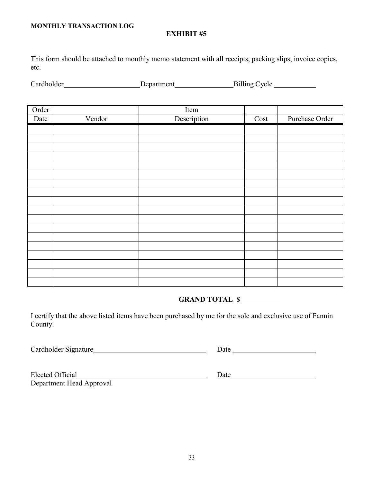# **MONTHLY TRANSACTION LOG**

# **EXHIBIT #5**

This form should be attached to monthly memo statement with all receipts, packing slips, invoice copies, etc.

| Cardholder | Department | Billing Cycle |  |
|------------|------------|---------------|--|
|------------|------------|---------------|--|

| Order |        | Item        |                          |                |
|-------|--------|-------------|--------------------------|----------------|
| Date  | Vendor | Description | $\overline{\text{Cost}}$ | Purchase Order |
|       |        |             |                          |                |
|       |        |             |                          |                |
|       |        |             |                          |                |
|       |        |             |                          |                |
|       |        |             |                          |                |
|       |        |             |                          |                |
|       |        |             |                          |                |
|       |        |             |                          |                |
|       |        |             |                          |                |
|       |        |             |                          |                |
|       |        |             |                          |                |
|       |        |             |                          |                |
|       |        |             |                          |                |
|       |        |             |                          |                |
|       |        |             |                          |                |
|       |        |             |                          |                |
|       |        |             |                          |                |
|       |        |             |                          |                |

# **GRAND TOTAL \$**

I certify that the above listed items have been purchased by me for the sole and exclusive use of Fannin County.

Cardholder Signature Date Date of the Date of the Date of the Date of the Date of the Date of the Date of the D

| <b>Elected Official</b>  |  |
|--------------------------|--|
| Department Head Approval |  |

electron contract of Date <u>Date</u> Date <u>Contract of the Second</u> Contract of Date Contract of Date Contract of Date Contract of Date Contract of Date Contract of Date Contract of Date Contract of Date Contract of Date Contra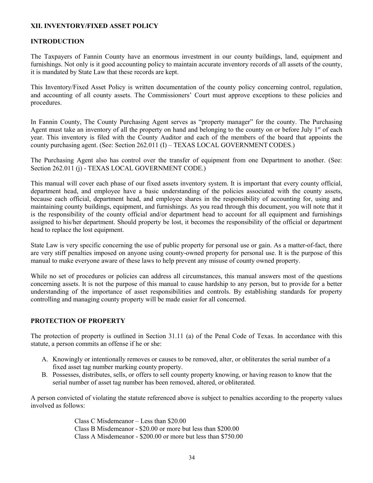# **XII. INVENTORY/FIXED ASSET POLICY**

#### **INTRODUCTION**

The Taxpayers of Fannin County have an enormous investment in our county buildings, land, equipment and furnishings. Not only is it good accounting policy to maintain accurate inventory records of all assets of the county, it is mandated by State Law that these records are kept.

This Inventory/Fixed Asset Policy is written documentation of the county policy concerning control, regulation, and accounting of all county assets. The Commissioners' Court must approve exceptions to these policies and procedures.

In Fannin County, The County Purchasing Agent serves as "property manager" for the county. The Purchasing Agent must take an inventory of all the property on hand and belonging to the county on or before July  $1<sup>st</sup>$  of each year. This inventory is filed with the County Auditor and each of the members of the board that appoints the county purchasing agent. (See: Section 262.011 (I) – TEXAS LOCAL GOVERNMENT CODES.)

The Purchasing Agent also has control over the transfer of equipment from one Department to another. (See: Section 262.011 (j) - TEXAS LOCAL GOVERNMENT CODE.)

This manual will cover each phase of our fixed assets inventory system. It is important that every county official, department head, and employee have a basic understanding of the policies associated with the county assets, because each official, department head, and employee shares in the responsibility of accounting for, using and maintaining county buildings, equipment, and furnishings. As you read through this document, you will note that it is the responsibility of the county official and/or department head to account for all equipment and furnishings assigned to his/her department. Should property be lost, it becomes the responsibility of the official or department head to replace the lost equipment.

State Law is very specific concerning the use of public property for personal use or gain. As a matter-of-fact, there are very stiff penalties imposed on anyone using county-owned property for personal use. It is the purpose of this manual to make everyone aware of these laws to help prevent any misuse of county owned property.

While no set of procedures or policies can address all circumstances, this manual answers most of the questions concerning assets. It is not the purpose of this manual to cause hardship to any person, but to provide for a better understanding of the importance of asset responsibilities and controls. By establishing standards for property controlling and managing county property will be made easier for all concerned.

#### **PROTECTION OF PROPERTY**

The protection of property is outlined in Section 31.11 (a) of the Penal Code of Texas. In accordance with this statute, a person commits an offense if he or she:

- A. Knowingly or intentionally removes or causes to be removed, alter, or obliterates the serial number of a fixed asset tag number marking county property.
- B. Possesses, distributes, sells, or offers to sell county property knowing, or having reason to know that the serial number of asset tag number has been removed, altered, or obliterated.

A person convicted of violating the statute referenced above is subject to penalties according to the property values involved as follows:

> Class C Misdemeanor – Less than \$20.00 Class B Misdemeanor - \$20.00 or more but less than \$200.00 Class A Misdemeanor - \$200.00 or more but less than \$750.00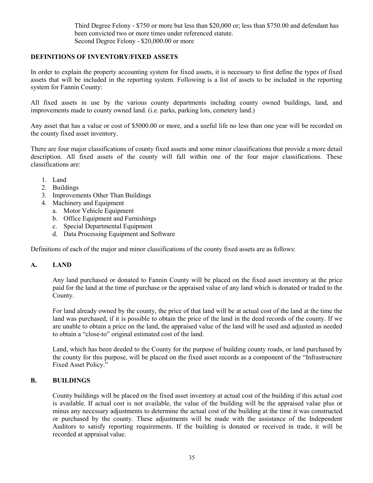Third Degree Felony - \$750 or more but less than \$20,000 or; less than \$750.00 and defendant has been convicted two or more times under referenced statute. Second Degree Felony - \$20,000.00 or more

# **DEFINITIONS OF INVENTORY/FIXED ASSETS**

In order to explain the property accounting system for fixed assets, it is necessary to first define the types of fixed assets that will be included in the reporting system. Following is a list of assets to be included in the reporting system for Fannin County:

All fixed assets in use by the various county departments including county owned buildings, land, and improvements made to county owned land. (i.e. parks, parking lots, cemetery land.)

Any asset that has a value or cost of \$5000.00 or more, and a useful life no less than one year will be recorded on the county fixed asset inventory.

There are four major classifications of county fixed assets and some minor classifications that provide a more detail description. All fixed assets of the county will fall within one of the four major classifications. These classifications are:

- 1. Land
- 2. Buildings
- 3. Improvements Other Than Buildings
- 4. Machinery and Equipment
	- a. Motor Vehicle Equipment
	- b. Office Equipment and Furnishings
	- c. Special Departmental Equipment
	- d. Data Processing Equipment and Software

Definitions of each of the major and minor classifications of the county fixed assets are as follows:

# **A. LAND**

Any land purchased or donated to Fannin County will be placed on the fixed asset inventory at the price paid for the land at the time of purchase or the appraised value of any land which is donated or traded to the County.

For land already owned by the county, the price of that land will be at actual cost of the land at the time the land was purchased, if it is possible to obtain the price of the land in the deed records of the county. If we are unable to obtain a price on the land, the appraised value of the land will be used and adjusted as needed to obtain a "close-to" original estimated cost of the land.

Land, which has been deeded to the County for the purpose of building county roads, or land purchased by the county for this purpose, will be placed on the fixed asset records as a component of the "Infrastructure Fixed Asset Policy."

# **B. BUILDINGS**

County buildings will be placed on the fixed asset inventory at actual cost of the building if this actual cost is available. If actual cost is not available, the value of the building will be the appraised value plus or minus any necessary adjustments to determine the actual cost of the building at the time it was constructed or purchased by the county. These adjustments will be made with the assistance of the Independent Auditors to satisfy reporting requirements. If the building is donated or received in trade, it will be recorded at appraisal value.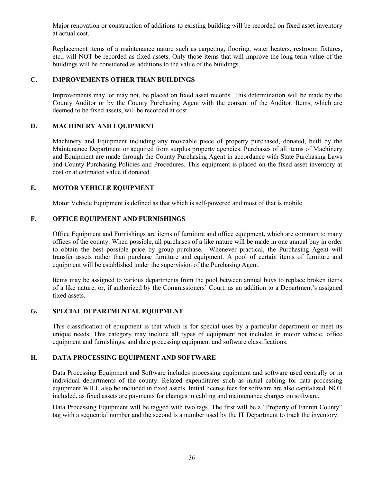Major renovation or construction of additions to existing building will be recorded on fixed asset inventory at actual cost.

Replacement items of a maintenance nature such as carpeting, flooring, water heaters, restroom fixtures, etc., will NOT be recorded as fixed assets. Only those items that will improve the long-term value of the buildings will be considered as additions to the value of the buildings.

# **C. IMPROVEMENTS OTHER THAN BUILDINGS**

Improvements may, or may not, be placed on fixed asset records. This determination will be made by the County Auditor or by the County Purchasing Agent with the consent of the Auditor. Items, which are deemed to be fixed assets, will be recorded at cost

# **D. MACHINERY AND EQUIPMENT**

Machinery and Equipment including any moveable piece of property purchased, donated, built by the Maintenance Department or acquired from surplus property agencies. Purchases of all items of Machinery and Equipment are made through the County Purchasing Agent in accordance with State Purchasing Laws and County Purchasing Policies and Procedures. This equipment is placed on the fixed asset inventory at cost or at estimated value if donated.

# **E. MOTOR VEHICLE EQUIPMENT**

Motor Vehicle Equipment is defined as that which is self-powered and most of that is mobile.

# **F. OFFICE EQUIPMENT AND FURNISHINGS**

Office Equipment and Furnishings are items of furniture and office equipment, which are common to many offices of the county. When possible, all purchases of a like nature will be made in one annual buy in order to obtain the best possible price by group purchase. Whenever practical, the Purchasing Agent will transfer assets rather than purchase furniture and equipment. A pool of certain items of furniture and equipment will be established under the supervision of the Purchasing Agent.

Items may be assigned to various departments from the pool between annual buys to replace broken items of a like nature, or, if authorized by the Commissioners' Court, as an addition to a Department's assigned fixed assets.

# **G. SPECIAL DEPARTMENTAL EQUIPMENT**

This classification of equipment is that which is for special uses by a particular department or meet its unique needs. This category may include all types of equipment not included in motor vehicle, office equipment and furnishings, and date processing equipment and software classifications.

# **H. DATA PROCESSING EQUIPMENT AND SOFTWARE**

Data Processing Equipment and Software includes processing equipment and software used centrally or in individual departments of the county. Related expenditures such as initial cabling for data processing equipment WILL also be included in fixed assets. Initial license fees for software are also capitalized. NOT included, as fixed assets are payments for changes in cabling and maintenance charges on software.

Data Processing Equipment will be tagged with two tags. The first will be a "Property of Fannin County" tag with a sequential number and the second is a number used by the IT Department to track the inventory.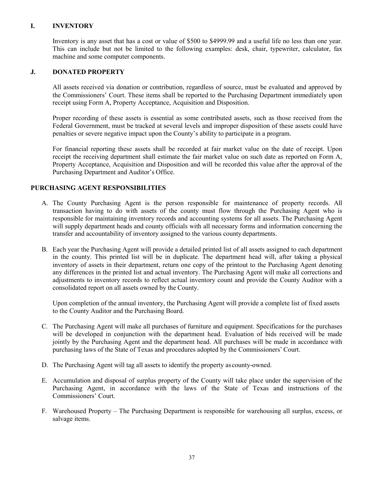# **I. INVENTORY**

Inventory is any asset that has a cost or value of \$500 to \$4999.99 and a useful life no less than one year. This can include but not be limited to the following examples: desk, chair, typewriter, calculator, fax machine and some computer components.

# **J. DONATED PROPERTY**

All assets received via donation or contribution, regardless of source, must be evaluated and approved by the Commissioners' Court. These items shall be reported to the Purchasing Department immediately upon receipt using Form A, Property Acceptance, Acquisition and Disposition.

Proper recording of these assets is essential as some contributed assets, such as those received from the Federal Government, must be tracked at several levels and improper disposition of these assets could have penalties or severe negative impact upon the County's ability to participate in a program.

For financial reporting these assets shall be recorded at fair market value on the date of receipt. Upon receipt the receiving department shall estimate the fair market value on such date as reported on Form A, Property Acceptance, Acquisition and Disposition and will be recorded this value after the approval of the Purchasing Department and Auditor's Office.

# **PURCHASING AGENT RESPONSIBILITIES**

- A. The County Purchasing Agent is the person responsible for maintenance of property records. All transaction having to do with assets of the county must flow through the Purchasing Agent who is responsible for maintaining inventory records and accounting systems for all assets. The Purchasing Agent will supply department heads and county officials with all necessary forms and information concerning the transfer and accountability of inventory assigned to the various county departments.
- B. Each year the Purchasing Agent will provide a detailed printed list of all assets assigned to each department in the county. This printed list will be in duplicate. The department head will, after taking a physical inventory of assets in their department, return one copy of the printout to the Purchasing Agent denoting any differences in the printed list and actual inventory. The Purchasing Agent will make all corrections and adjustments to inventory records to reflect actual inventory count and provide the County Auditor with a consolidated report on all assets owned by the County.

Upon completion of the annual inventory, the Purchasing Agent will provide a complete list of fixed assets to the County Auditor and the Purchasing Board.

- C. The Purchasing Agent will make all purchases of furniture and equipment. Specifications for the purchases will be developed in conjunction with the department head. Evaluation of bids received will be made jointly by the Purchasing Agent and the department head. All purchases will be made in accordance with purchasing laws of the State of Texas and procedures adopted by the Commissioners' Court.
- D. The Purchasing Agent will tag all assets to identify the property as county-owned.
- E. Accumulation and disposal of surplus property of the County will take place under the supervision of the Purchasing Agent, in accordance with the laws of the State of Texas and instructions of the Commissioners' Court.
- F. Warehoused Property The Purchasing Department is responsible for warehousing all surplus, excess, or salvage items.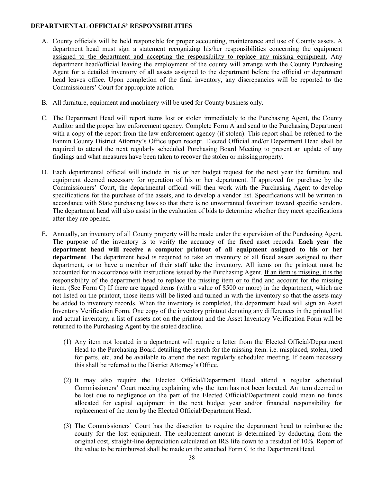# **DEPARTMENTAL OFFICIALS' RESPONSIBILITIES**

- A. County officials will be held responsible for proper accounting, maintenance and use of County assets. A department head must sign a statement recognizing his/her responsibilities concerning the equipment assigned to the department and accepting the responsibility to replace any missing equipment. Any department head/official leaving the employment of the county will arrange with the County Purchasing Agent for a detailed inventory of all assets assigned to the department before the official or department head leaves office. Upon completion of the final inventory, any discrepancies will be reported to the Commissioners' Court for appropriate action.
- B. All furniture, equipment and machinery will be used for County business only.
- C. The Department Head will report items lost or stolen immediately to the Purchasing Agent, the County Auditor and the proper law enforcement agency. Complete Form A and send to the Purchasing Department with a copy of the report from the law enforcement agency (if stolen). This report shall be referred to the Fannin County District Attorney's Office upon receipt. Elected Official and/or Department Head shall be required to attend the next regularly scheduled Purchasing Board Meeting to present an update of any findings and what measures have been taken to recover the stolen or missing property.
- D. Each departmental official will include in his or her budget request for the next year the furniture and equipment deemed necessary for operation of his or her department. If approved for purchase by the Commissioners' Court, the departmental official will then work with the Purchasing Agent to develop specifications for the purchase of the assets, and to develop a vendor list. Specifications will be written in accordance with State purchasing laws so that there is no unwarranted favoritism toward specific vendors. The department head will also assist in the evaluation of bids to determine whether they meet specifications after they are opened.
- E. Annually, an inventory of all County property will be made under the supervision of the Purchasing Agent. The purpose of the inventory is to verify the accuracy of the fixed asset records. **Each year the department head will receive a computer printout of all equipment assigned to his or her department**. The department head is required to take an inventory of all fixed assets assigned to their department, or to have a member of their staff take the inventory. All items on the printout must be accounted for in accordance with instructions issued by the Purchasing Agent. If an item is missing, it is the responsibility of the department head to replace the missing item or to find and account for the missing item. (See Form C) If there are tagged items (with a value of \$500 or more) in the department, which are not listed on the printout, those items will be listed and turned in with the inventory so that the assets may be added to inventory records. When the inventory is completed, the department head will sign an Asset Inventory Verification Form. One copy of the inventory printout denoting any differences in the printed list and actual inventory, a list of assets not on the printout and the Asset Inventory Verification Form will be returned to the Purchasing Agent by the stated deadline.
	- (1) Any item not located in a department will require a letter from the Elected Official/Department Head to the Purchasing Board detailing the search for the missing item. i.e. misplaced, stolen, used for parts, etc. and be available to attend the next regularly scheduled meeting. If deem necessary this shall be referred to the District Attorney's Office.
	- (2) It may also require the Elected Official/Department Head attend a regular scheduled Commissioners' Court meeting explaining why the item has not been located. An item deemed to be lost due to negligence on the part of the Elected Official/Department could mean no funds allocated for capital equipment in the next budget year and/or financial responsibility for replacement of the item by the Elected Official/Department Head.
	- (3) The Commissioners' Court has the discretion to require the department head to reimburse the county for the lost equipment. The replacement amount is determined by deducting from the original cost, straight-line depreciation calculated on IRS life down to a residual of 10%. Report of the value to be reimbursed shall be made on the attached Form C to the Department Head.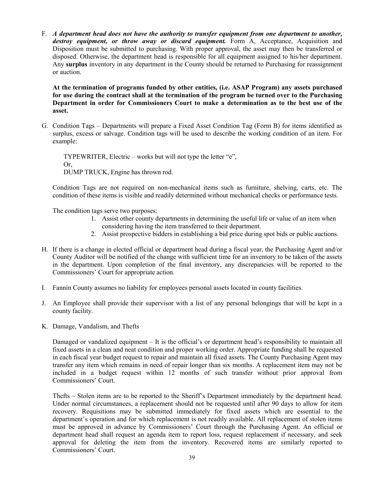F. *A department head does not have the authority to transfer equipment from one department to another,*  destroy equipment, or throw away or discard equipment. Form A, Acceptance, Acquisition and Disposition must be submitted to purchasing. With proper approval, the asset may then be transferred or disposed. Otherwise, the department head is responsible for all equipment assigned to his/her department. Any **surplus** inventory in any department in the County should be returned to Purchasing for reassignment or auction.

**At the termination of programs funded by other entities, (i.e. ASAP Program) any assets purchased for use during the contract shall at the termination of the program be turned over to the Purchasing Department in order for Commissioners Court to make a determination as to the best use of the asset.**

G. Condition Tags – Departments will prepare a Fixed Asset Condition Tag (Form B) for items identified as surplus, excess or salvage. Condition tags will be used to describe the working condition of an item. For example:

TYPEWRITER, Electric – works but will not type the letter "e", Or, DUMP TRUCK, Engine has thrown rod.

Condition Tags are not required on non-mechanical items such as furniture, shelving, carts, etc. The condition of these items is visible and readily determined without mechanical checks or performance tests.

The condition tags serve two purposes:

- 1. Assist other county departments in determining the useful life or value of an item when
	- considering having the item transferred to their department.
- 2. Assist prospective bidders in establishing a bid price during spot bids or public auctions.
- H. If there is a change in elected official or department head during a fiscal year, the Purchasing Agent and/or County Auditor will be notified of the change with sufficient time for an inventory to be taken of the assets in the department. Upon completion of the final inventory, any discrepancies will be reported to the Commissioners' Court for appropriate action.
- I. Fannin County assumes no liability for employees personal assets located in county facilities.
- J. An Employee shall provide their supervisor with a list of any personal belongings that will be kept in a county facility.
- K. Damage, Vandalism, and Thefts

Damaged or vandalized equipment – It is the official's or department head's responsibility to maintain all fixed assets in a clean and neat condition and proper working order. Appropriate funding shall be requested in each fiscal year budget request to repair and maintain all fixed assets. The County Purchasing Agent may transfer any item which remains in need of repair longer than six months. A replacement item may not be included in a budget request within 12 months of such transfer without prior approval from Commissioners' Court.

Thefts – Stolen items are to be reported to the Sheriff's Department immediately by the department head. Under normal circumstances, a replacement should not be requested until after 90 days to allow for item recovery. Requisitions may be submitted immediately for fixed assets which are essential to the department's operation and for which replacement is not readily available. All replacement of stolen items must be approved in advance by Commissioners' Court through the Purchasing Agent. An official or department head shall request an agenda item to report loss, request replacement if necessary, and seek approval for deleting the item from the inventory. Recovered items are similarly reported to Commissioners' Court.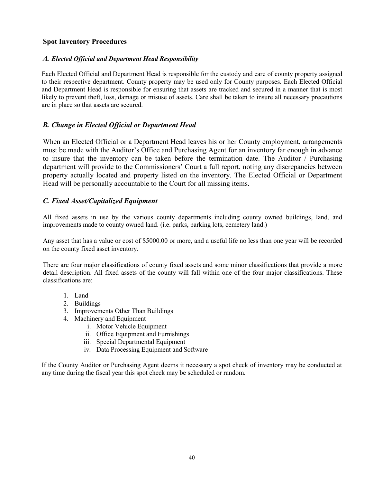# **Spot Inventory Procedures**

# *A. Elected Official and Department Head Responsibility*

Each Elected Official and Department Head is responsible for the custody and care of county property assigned to their respective department. County property may be used only for County purposes. Each Elected Official and Department Head is responsible for ensuring that assets are tracked and secured in a manner that is most likely to prevent theft, loss, damage or misuse of assets. Care shall be taken to insure all necessary precautions are in place so that assets are secured.

# *B. Change in Elected Official or Department Head*

When an Elected Official or a Department Head leaves his or her County employment, arrangements must be made with the Auditor's Office and Purchasing Agent for an inventory far enough in advance to insure that the inventory can be taken before the termination date. The Auditor / Purchasing department will provide to the Commissioners' Court a full report, noting any discrepancies between property actually located and property listed on the inventory. The Elected Official or Department Head will be personally accountable to the Court for all missing items.

# *C. Fixed Asset/Capitalized Equipment*

All fixed assets in use by the various county departments including county owned buildings, land, and improvements made to county owned land. (i.e. parks, parking lots, cemetery land.)

Any asset that has a value or cost of \$5000.00 or more, and a useful life no less than one year will be recorded on the county fixed asset inventory.

There are four major classifications of county fixed assets and some minor classifications that provide a more detail description. All fixed assets of the county will fall within one of the four major classifications. These classifications are:

- 1. Land
- 2. Buildings
- 3. Improvements Other Than Buildings
- 4. Machinery and Equipment
	- i. Motor Vehicle Equipment
	- ii. Office Equipment and Furnishings
	- iii. Special Departmental Equipment
	- iv. Data Processing Equipment and Software

If the County Auditor or Purchasing Agent deems it necessary a spot check of inventory may be conducted at any time during the fiscal year this spot check may be scheduled or random.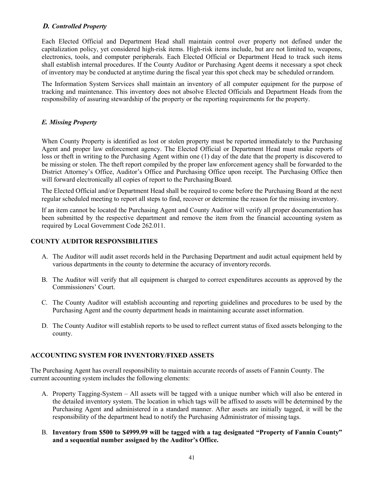# *D. Controlled Property*

Each Elected Official and Department Head shall maintain control over property not defined under the capitalization policy, yet considered high-risk items. High-risk items include, but are not limited to, weapons, electronics, tools, and computer peripherals. Each Elected Official or Department Head to track such items shall establish internal procedures. If the County Auditor or Purchasing Agent deems it necessary a spot check of inventory may be conducted at anytime during the fiscal year this spot check may be scheduled orrandom.

The Information System Services shall maintain an inventory of all computer equipment for the purpose of tracking and maintenance. This inventory does not absolve Elected Officials and Department Heads from the responsibility of assuring stewardship of the property or the reporting requirements for the property.

# *E. Missing Property*

When County Property is identified as lost or stolen property must be reported immediately to the Purchasing Agent and proper law enforcement agency. The Elected Official or Department Head must make reports of loss or theft in writing to the Purchasing Agent within one (1) day of the date that the property is discovered to be missing or stolen. The theft report compiled by the proper law enforcement agency shall be forwarded to the District Attorney's Office, Auditor's Office and Purchasing Office upon receipt. The Purchasing Office then will forward electronically all copies of report to the Purchasing Board.

The Elected Official and/or Department Head shall be required to come before the Purchasing Board at the next regular scheduled meeting to report all steps to find, recover or determine the reason for the missing inventory.

If an item cannot be located the Purchasing Agent and County Auditor will verify all proper documentation has been submitted by the respective department and remove the item from the financial accounting system as required by Local Government Code 262.011.

# **COUNTY AUDITOR RESPONSIBILITIES**

- A. The Auditor will audit asset records held in the Purchasing Department and audit actual equipment held by various departments in the county to determine the accuracy of inventory records.
- B. The Auditor will verify that all equipment is charged to correct expenditures accounts as approved by the Commissioners' Court.
- C. The County Auditor will establish accounting and reporting guidelines and procedures to be used by the Purchasing Agent and the county department heads in maintaining accurate asset information.
- D. The County Auditor will establish reports to be used to reflect current status of fixed assets belonging to the county.

# **ACCOUNTING SYSTEM FOR INVENTORY/FIXED ASSETS**

The Purchasing Agent has overall responsibility to maintain accurate records of assets of Fannin County. The current accounting system includes the following elements:

- A. Property Tagging-System All assets will be tagged with a unique number which will also be entered in the detailed inventory system. The location in which tags will be affixed to assets will be determined by the Purchasing Agent and administered in a standard manner. After assets are initially tagged, it will be the responsibility of the department head to notify the Purchasing Administrator of missing tags.
- B. **Inventory from \$500 to \$4999.99 will be tagged with a tag designated "Property of Fannin County" and a sequential number assigned by the Auditor's Office.**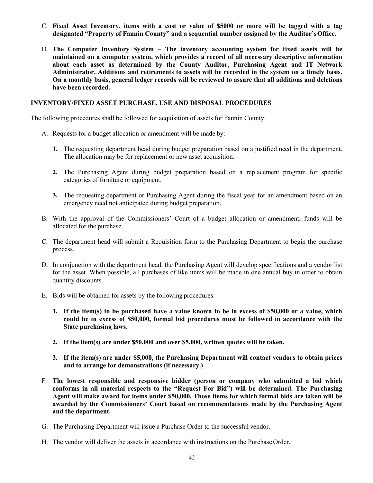- C. **Fixed Asset Inventory, items with a cost or value of \$5000 or more will be tagged with a tag designated "Property of Fannin County" and a sequential number assigned by the Auditor'sOffice.**
- D. **The Computer Inventory System – The inventory accounting system for fixed assets will be maintained on a computer system, which provides a record of all necessary descriptive information about each asset as determined by the County Auditor, Purchasing Agent and IT Network Administrator. Additions and retirements to assets will be recorded in the system on a timely basis. On a monthly basis, general ledger records will be reviewed to assure that all additions and deletions have been recorded.**

#### **INVENTORY/FIXED ASSET PURCHASE, USE AND DISPOSAL PROCEDURES**

The following procedures shall be followed for acquisition of assets for Fannin County:

- A. Requests for a budget allocation or amendment will be made by:
	- **1.** The requesting department head during budget preparation based on a justified need in the department. The allocation may be for replacement or new asset acquisition.
	- **2.** The Purchasing Agent during budget preparation based on a replacement program for specific categories of furniture or equipment.
	- **3.** The requesting department or Purchasing Agent during the fiscal year for an amendment based on an emergency need not anticipated during budget preparation.
- B. With the approval of the Commissioners' Court of a budget allocation or amendment, funds will be allocated for the purchase.
- C. The department head will submit a Requisition form to the Purchasing Department to begin the purchase process.
- D. In conjunction with the department head, the Purchasing Agent will develop specifications and a vendor list for the asset. When possible, all purchases of like items will be made in one annual buy in order to obtain quantity discounts.
- E. Bids will be obtained for assets by the following procedures:
	- **1. If the item(s) to be purchased have a value known to be in excess of \$50,000 or a value, which could be in excess of \$50,000, formal bid procedures must be followed in accordance with the State purchasing laws.**
	- **2. If the item(s) are under \$50,000 and over \$5,000, written quotes will be taken.**
	- **3. If the item(s) are under \$5,000, the Purchasing Department will contact vendors to obtain prices and to arrange for demonstrations (if necessary.)**
- F. **The lowest responsible and responsive bidder (person or company who submitted a bid which conforms in all material respects to the "Request For Bid") will be determined. The Purchasing Agent will make award for items under \$50,000. Those items for which formal bids are taken will be awarded by the Commissioners' Court based on recommendations made by the Purchasing Agent and the department.**
- G. The Purchasing Department will issue a Purchase Order to the successful vendor.
- H. The vendor will deliver the assets in accordance with instructions on the Purchase Order.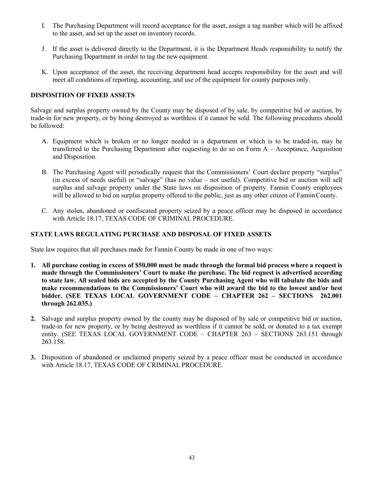- I. The Purchasing Department will record acceptance for the asset, assign a tag number which will be affixed to the asset, and set up the asset on inventory records.
- J. If the asset is delivered directly to the Department, it is the Department Heads responsibility to notify the Purchasing Department in order to tag the new equipment.
- K. Upon acceptance of the asset, the receiving department head accepts responsibility for the asset and will meet all conditions of reporting, accounting, and use of the equipment for county purposes only.

# **DISPOSITION OF FIXED ASSETS**

Salvage and surplus property owned by the County may be disposed of by sale, by competitive bid or auction, by trade-in for new property, or by being destroyed as worthless if it cannot be sold. The following procedures should be followed:

- A. Equipment which is broken or no longer needed in a department or which is to be traded-in, may be transferred to the Purchasing Department after requesting to do so on Form A – Acceptance, Acquisition and Disposition.
- B. The Purchasing Agent will periodically request that the Commissioners' Court declare property "surplus" (in excess of needs useful) or "salvage" (has no value – not useful). Competitive bid or auction will sell surplus and salvage property under the State laws on disposition of property. Fannin County employees will be allowed to bid on surplus property offered to the public, just as any other citizen of Fannin County.
- C. Any stolen, abandoned or confiscated property seized by a peace officer may be disposed in accordance with Article 18.17, TEXAS CODE OF CRIMINAL PROCEDURE.

# **STATE LAWS REGULATING PURCHASE AND DISPOSAL OF FIXED ASSETS**

State law requires that all purchases made for Fannin County be made in one of two ways:

- **1. All purchase costing in excess of \$50,000 must be made through the formal bid process where a request is made through the Commissioners' Court to make the purchase. The bid request is advertised according to state law. All sealed bids are accepted by the County Purchasing Agent who will tabulate the bids and make recommendations to the Commissioners' Court who will award the bid to the lowest and/or best bidder. (SEE TEXAS LOCAL GOVERNMENT CODE – CHAPTER 262 – SECTIONS 262.001 through 262.035.)**
- **2.** Salvage and surplus property owned by the county may be disposed of by sale or competitive bid or auction, trade-in for new property, or by being destroyed as worthless if it cannot be sold, or donated to a tax exempt entity. (SEE TEXAS LOCAL GOVERNMENT CODE – CHAPTER 263 – SECTIONS 263.151 through 263.158.
- **3.** Disposition of abandoned or unclaimed property seized by a peace officer must be conducted in accordance with Article 18.17, TEXAS CODE OF CRIMINAL PROCEDURE.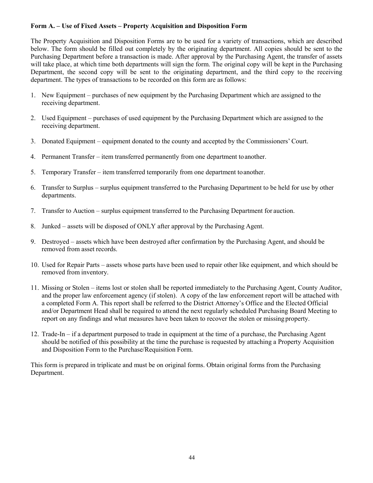# **Form A. – Use of Fixed Assets – Property Acquisition and Disposition Form**

The Property Acquisition and Disposition Forms are to be used for a variety of transactions, which are described below. The form should be filled out completely by the originating department. All copies should be sent to the Purchasing Department before a transaction is made. After approval by the Purchasing Agent, the transfer of assets will take place, at which time both departments will sign the form. The original copy will be kept in the Purchasing Department, the second copy will be sent to the originating department, and the third copy to the receiving department. The types of transactions to be recorded on this form are as follows:

- 1. New Equipment purchases of new equipment by the Purchasing Department which are assigned to the receiving department.
- 2. Used Equipment purchases of used equipment by the Purchasing Department which are assigned to the receiving department.
- 3. Donated Equipment equipment donated to the county and accepted by the Commissioners' Court.
- 4. Permanent Transfer item transferred permanently from one department toanother.
- 5. Temporary Transfer item transferred temporarily from one department toanother.
- 6. Transfer to Surplus surplus equipment transferred to the Purchasing Department to be held for use by other departments.
- 7. Transfer to Auction surplus equipment transferred to the Purchasing Department for auction.
- 8. Junked assets will be disposed of ONLY after approval by the Purchasing Agent.
- 9. Destroyed assets which have been destroyed after confirmation by the Purchasing Agent, and should be removed from asset records.
- 10. Used for Repair Parts assets whose parts have been used to repair other like equipment, and which should be removed from inventory.
- 11. Missing or Stolen items lost or stolen shall be reported immediately to the Purchasing Agent, County Auditor, and the proper law enforcement agency (if stolen). A copy of the law enforcement report will be attached with a completed Form A. This report shall be referred to the District Attorney's Office and the Elected Official and/or Department Head shall be required to attend the next regularly scheduled Purchasing Board Meeting to report on any findings and what measures have been taken to recover the stolen or missing property.
- 12. Trade-In if a department purposed to trade in equipment at the time of a purchase, the Purchasing Agent should be notified of this possibility at the time the purchase is requested by attaching a Property Acquisition and Disposition Form to the Purchase/Requisition Form.

This form is prepared in triplicate and must be on original forms. Obtain original forms from the Purchasing Department.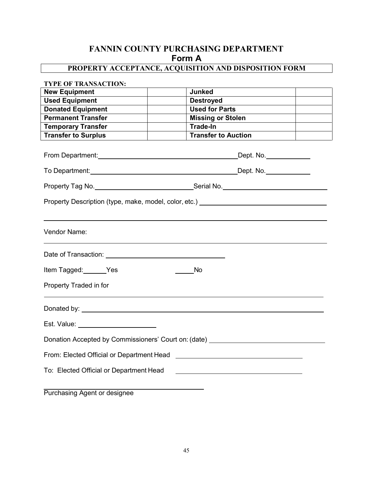# **FANNIN COUNTY PURCHASING DEPARTMENT Form A**

# **PROPERTY ACCEPTANCE, ACQUISITION AND DISPOSITION FORM**

| <b>TYPE OF TRANSACTION:</b>             |                                                                                                                        |
|-----------------------------------------|------------------------------------------------------------------------------------------------------------------------|
| <b>New Equipment</b>                    | <b>Junked</b>                                                                                                          |
| <b>Used Equipment</b>                   | <b>Destroyed</b>                                                                                                       |
| <b>Donated Equipment</b>                | <b>Used for Parts</b>                                                                                                  |
| <b>Permanent Transfer</b>               | <b>Missing or Stolen</b>                                                                                               |
| <b>Temporary Transfer</b>               | Trade-In                                                                                                               |
| <b>Transfer to Surplus</b>              | <b>Transfer to Auction</b>                                                                                             |
|                                         | From Department: <u>contract and contract and contract and contract and contract of Dept.</u> No.                      |
|                                         | To Department: <u>New York: No. 2008</u> Contract the Contract of Texas Contract of Texas Contract of Texas Contract O |
|                                         |                                                                                                                        |
|                                         | Property Description (type, make, model, color, etc.) example and the control of the control of the control of         |
| Vendor Name:                            |                                                                                                                        |
|                                         |                                                                                                                        |
| Item Tagged: Yes                        | <b>No</b>                                                                                                              |
| Property Traded in for                  |                                                                                                                        |
|                                         |                                                                                                                        |
| Est. Value: __________________________  |                                                                                                                        |
|                                         | Donation Accepted by Commissioners' Court on: (date) ___________________________                                       |
|                                         |                                                                                                                        |
| To: Elected Official or Department Head |                                                                                                                        |
|                                         |                                                                                                                        |

Purchasing Agent or designee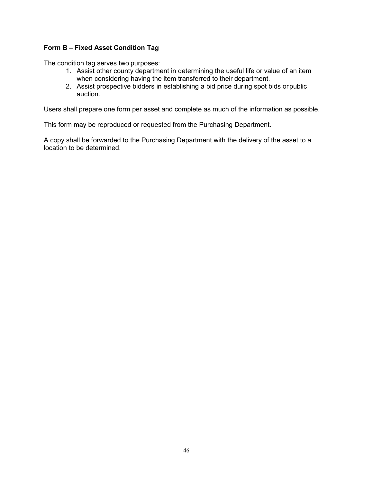# **Form B – Fixed Asset Condition Tag**

The condition tag serves two purposes:

- 1. Assist other county department in determining the useful life or value of an item when considering having the item transferred to their department.
- 2. Assist prospective bidders in establishing a bid price during spot bids orpublic auction.

Users shall prepare one form per asset and complete as much of the information as possible.

This form may be reproduced or requested from the Purchasing Department.

A copy shall be forwarded to the Purchasing Department with the delivery of the asset to a location to be determined.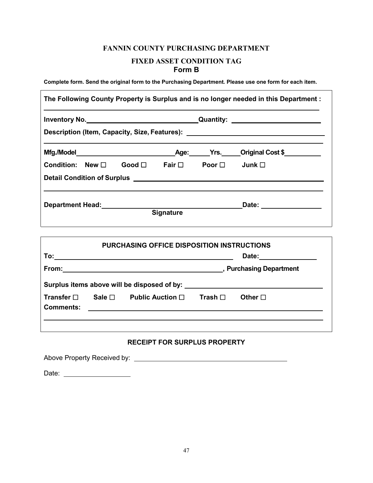# **FANNIN COUNTY PURCHASING DEPARTMENT FIXED ASSET CONDITION TAG Form B**

**Complete form. Send the original form to the Purchasing Department. Please use one form for each item.**

|                                                                       |                  | Description (Item, Capacity, Size, Features): __________________________________ |  |
|-----------------------------------------------------------------------|------------------|----------------------------------------------------------------------------------|--|
|                                                                       |                  |                                                                                  |  |
| Condition: New $\square$ Good $\square$ Fair $\square$ Poor $\square$ |                  | Junk $\square$                                                                   |  |
|                                                                       |                  |                                                                                  |  |
| Department Head: New York Changes and Separtment Head:                |                  | Date: __________________                                                         |  |
|                                                                       | <b>Signature</b> |                                                                                  |  |

| <b>PURCHASING OFFICE DISPOSITION INSTRUCTIONS</b><br>To:<br>Date: |                |                                             |                              |                 |  |
|-------------------------------------------------------------------|----------------|---------------------------------------------|------------------------------|-----------------|--|
| From:                                                             |                |                                             | <b>Purchasing Department</b> |                 |  |
|                                                                   |                | Surplus items above will be disposed of by: |                              |                 |  |
| Transfer $\square$<br><b>Comments:</b>                            | Sale $\square$ | Public Auction $\Box$                       | Trash $\square$              | Other $\square$ |  |
|                                                                   |                |                                             |                              |                 |  |

# **RECEIPT FOR SURPLUS PROPERTY**

Above Property Received by:

Date: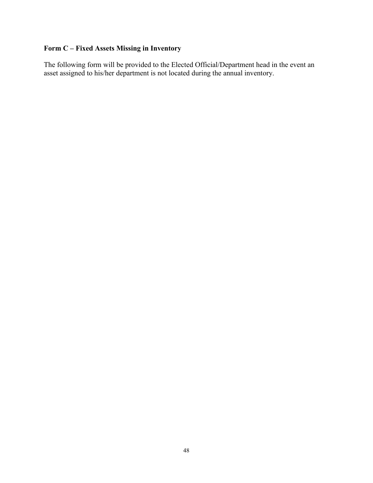# **Form C – Fixed Assets Missing in Inventory**

The following form will be provided to the Elected Official/Department head in the event an asset assigned to his/her department is not located during the annual inventory.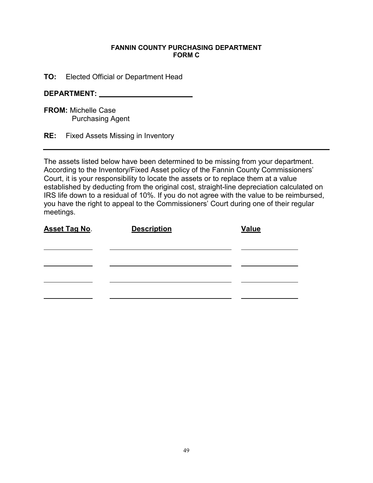# **FANNIN COUNTY PURCHASING DEPARTMENT FORM C**

**TO:** Elected Official or Department Head

# **DEPARTMENT:**

**FROM:** Michelle Case Purchasing Agent

**RE:** Fixed Assets Missing in Inventory

The assets listed below have been determined to be missing from your department. According to the Inventory/Fixed Asset policy of the Fannin County Commissioners' Court, it is your responsibility to locate the assets or to replace them at a value established by deducting from the original cost, straight-line depreciation calculated on IRS life down to a residual of 10%. If you do not agree with the value to be reimbursed, you have the right to appeal to the Commissioners' Court during one of their regular meetings.

| <b>Asset Tag No.</b> | <b>Description</b> | <b>Value</b> |
|----------------------|--------------------|--------------|
|                      |                    |              |
|                      |                    |              |
|                      |                    |              |
|                      |                    |              |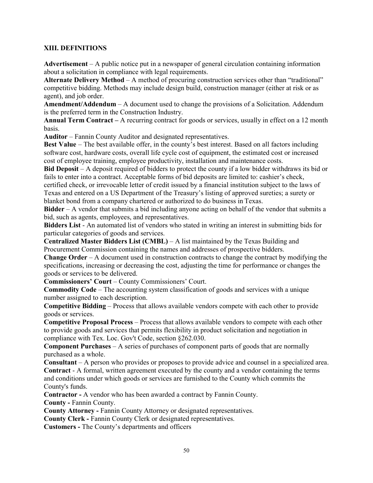# **XIII. DEFINITIONS**

**Advertisement** – A public notice put in a newspaper of general circulation containing information about a solicitation in compliance with legal requirements.

**Alternate Delivery Method** – A method of procuring construction services other than "traditional" competitive bidding. Methods may include design build, construction manager (either at risk or as agent), and job order.

**Amendment/Addendum** – A document used to change the provisions of a Solicitation. Addendum is the preferred term in the Construction Industry.

**Annual Term Contract –** A recurring contract for goods or services, usually in effect on a 12 month basis.

**Auditor** – Fannin County Auditor and designated representatives.

**Best Value** – The best available offer, in the county's best interest. Based on all factors including software cost, hardware costs, overall life cycle cost of equipment, the estimated cost or increased cost of employee training, employee productivity, installation and maintenance costs.

**Bid Deposit** – A deposit required of bidders to protect the county if a low bidder withdraws its bid or fails to enter into a contract. Acceptable forms of bid deposits are limited to: cashier's check,

certified check, or irrevocable letter of credit issued by a financial institution subject to the laws of Texas and entered on a US Department of the Treasury's listing of approved sureties; a surety or blanket bond from a company chartered or authorized to do business in Texas.

**Bidder** – A vendor that submits a bid including anyone acting on behalf of the vendor that submits a bid, such as agents, employees, and representatives.

**Bidders List** - An automated list of vendors who stated in writing an interest in submitting bids for particular categories of goods and services.

**Centralized Master Bidders List (CMBL)** – A list maintained by the Texas Building and Procurement Commission containing the names and addresses of prospective bidders.

**Change Order** – A document used in construction contracts to change the contract by modifying the specifications, increasing or decreasing the cost, adjusting the time for performance or changes the goods or services to be delivered.

**Commissioners' Court** – County Commissioners' Court.

**Commodity Code** – The accounting system classification of goods and services with a unique number assigned to each description.

**Competitive Bidding** – Process that allows available vendors compete with each other to provide goods or services.

**Competitive Proposal Process** – Process that allows available vendors to compete with each other to provide goods and services that permits flexibility in product solicitation and negotiation in compliance with Tex. Loc. Gov't Code, section §262.030.

**Component Purchases** – A series of purchases of component parts of goods that are normally purchased as a whole.

**Consultant** – A person who provides or proposes to provide advice and counsel in a specialized area. **Contract** - A formal, written agreement executed by the county and a vendor containing the terms and conditions under which goods or services are furnished to the County which commits the County's funds.

**Contractor -** A vendor who has been awarded a contract by Fannin County. **County -** Fannin County.

**County Attorney -** Fannin County Attorney or designated representatives.

**County Clerk -** Fannin County Clerk or designated representatives.

**Customers -** The County's departments and officers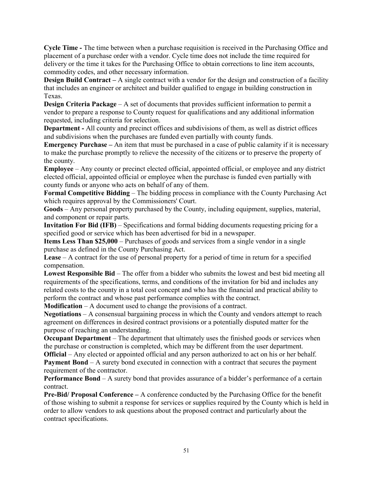**Cycle Time -** The time between when a purchase requisition is received in the Purchasing Office and placement of a purchase order with a vendor. Cycle time does not include the time required for delivery or the time it takes for the Purchasing Office to obtain corrections to line item accounts, commodity codes, and other necessary information.

**Design Build Contract** – A single contract with a vendor for the design and construction of a facility that includes an engineer or architect and builder qualified to engage in building construction in Texas.

**Design Criteria Package** – A set of documents that provides sufficient information to permit a vendor to prepare a response to County request for qualifications and any additional information requested, including criteria for selection.

**Department -** All county and precinct offices and subdivisions of them, as well as district offices and subdivisions when the purchases are funded even partially with county funds.

**Emergency Purchase** – An item that must be purchased in a case of public calamity if it is necessary to make the purchase promptly to relieve the necessity of the citizens or to preserve the property of the county.

**Employee** – Any county or precinct elected official, appointed official, or employee and any district elected official, appointed official or employee when the purchase is funded even partially with county funds or anyone who acts on behalf of any of them.

**Formal Competitive Bidding** – The bidding process in compliance with the County Purchasing Act which requires approval by the Commissioners' Court.

**Goods** – Any personal property purchased by the County, including equipment, supplies, material, and component or repair parts.

**Invitation For Bid (IFB)** – Specifications and formal bidding documents requesting pricing for a specified good or service which has been advertised for bid in a newspaper.

**Items Less Than \$25,000** – Purchases of goods and services from a single vendor in a single purchase as defined in the County Purchasing Act.

**Lease** – A contract for the use of personal property for a period of time in return for a specified compensation.

**Lowest Responsible Bid** – The offer from a bidder who submits the lowest and best bid meeting all requirements of the specifications, terms, and conditions of the invitation for bid and includes any related costs to the county in a total cost concept and who has the financial and practical ability to perform the contract and whose past performance complies with the contract.

**Modification** – A document used to change the provisions of a contract.

**Negotiations** – A consensual bargaining process in which the County and vendors attempt to reach agreement on differences in desired contract provisions or a potentially disputed matter for the purpose of reaching an understanding.

**Occupant Department** – The department that ultimately uses the finished goods or services when the purchase or construction is completed, which may be different from the user department.

**Official** – Any elected or appointed official and any person authorized to act on his or her behalf. **Payment Bond** – A surety bond executed in connection with a contract that secures the payment requirement of the contractor.

**Performance Bond** – A surety bond that provides assurance of a bidder's performance of a certain contract.

**Pre-Bid/ Proposal Conference –** A conference conducted by the Purchasing Office for the benefit of those wishing to submit a response for services or supplies required by the County which is held in order to allow vendors to ask questions about the proposed contract and particularly about the contract specifications.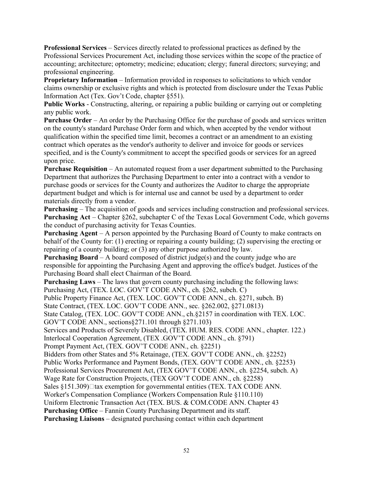**Professional Services** – Services directly related to professional practices as defined by the Professional Services Procurement Act, including those services within the scope of the practice of accounting; architecture; optometry; medicine; education; clergy; funeral directors; surveying; and professional engineering.

**Proprietary Information** – Information provided in responses to solicitations to which vendor claims ownership or exclusive rights and which is protected from disclosure under the Texas Public Information Act (Tex. Gov't Code, chapter §551).

**Public Works** - Constructing, altering, or repairing a public building or carrying out or completing any public work.

**Purchase Order** – An order by the Purchasing Office for the purchase of goods and services written on the county's standard Purchase Order form and which, when accepted by the vendor without qualification within the specified time limit, becomes a contract or an amendment to an existing contract which operates as the vendor's authority to deliver and invoice for goods or services specified, and is the County's commitment to accept the specified goods or services for an agreed upon price.

**Purchase Requisition** – An automated request from a user department submitted to the Purchasing Department that authorizes the Purchasing Department to enter into a contract with a vendor to purchase goods or services for the County and authorizes the Auditor to charge the appropriate department budget and which is for internal use and cannot be used by a department to order materials directly from a vendor.

**Purchasing** – The acquisition of goods and services including construction and professional services. **Purchasing Act** – Chapter §262, subchapter C of the Texas Local Government Code, which governs the conduct of purchasing activity for Texas Counties.

**Purchasing Agent** – A person appointed by the Purchasing Board of County to make contracts on behalf of the County for: (1) erecting or repairing a county building; (2) supervising the erecting or repairing of a county building; or (3) any other purpose authorized by law.

**Purchasing Board** – A board composed of district judge(s) and the county judge who are responsible for appointing the Purchasing Agent and approving the office's budget. Justices of the Purchasing Board shall elect Chairman of the Board.

**Purchasing Laws** – The laws that govern county purchasing including the following laws:

Purchasing Act, (TEX. LOC. GOV'T CODE ANN., ch. §262, subch. C)

Public Property Finance Act, (TEX. LOC. GOV'T CODE ANN., ch. §271, subch. B)

State Contract, (TEX. LOC. GOV'T CODE ANN., sec. §262.002, §271.0813)

State Catalog, (TEX. LOC. GOV'T CODE ANN., ch.§2157 in coordination with TEX. LOC.

GOV'T CODE ANN., sections§271.101 through §271.103)

Services and Products of Severely Disabled, (TEX. HUM. RES. CODE ANN., chapter. 122.)

Interlocal Cooperation Agreement, (TEX .GOV'T CODE ANN., ch. §791)

Prompt Payment Act, (TEX. GOV'T CODE ANN., ch. §2251)

Bidders from other States and 5% Retainage, (TEX. GOV'T CODE ANN., ch. §2252)

Public Works Performance and Payment Bonds, (TEX. GOV'T CODE ANN., ch. §2253)

Professional Services Procurement Act, (TEX GOV'T CODE ANN., ch. §2254, subch. A)

Wage Rate for Construction Projects, (TEX GOV'T CODE ANN., ch. §2258)

Sales  $\S151.309$ ) $\Box$ tax exemption for governmental entities (TEX. TAX CODE ANN.

Worker's Compensation Compliance (Workers Compensation Rule §110.110)

Uniform Electronic Transaction Act (TEX. BUS. & COM.CODE ANN. Chapter 43

**Purchasing Office** – Fannin County Purchasing Department and its staff.

**Purchasing Liaisons** – designated purchasing contact within each department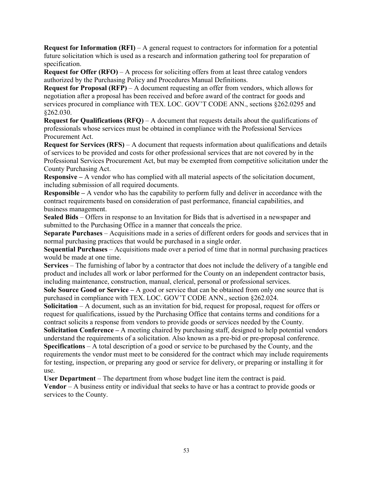**Request for Information (RFI)** – A general request to contractors for information for a potential future solicitation which is used as a research and information gathering tool for preparation of specification.

**Request for Offer (RFO)** – A process for soliciting offers from at least three catalog vendors authorized by the Purchasing Policy and Procedures Manual Definitions.

**Request for Proposal (RFP)** – A document requesting an offer from vendors, which allows for negotiation after a proposal has been received and before award of the contract for goods and services procured in compliance with TEX. LOC. GOV'T CODE ANN., sections §262.0295 and §262.030.

**Request for Qualifications (RFQ)** – A document that requests details about the qualifications of professionals whose services must be obtained in compliance with the Professional Services Procurement Act.

**Request for Services (RFS)** – A document that requests information about qualifications and details of services to be provided and costs for other professional services that are not covered by in the Professional Services Procurement Act, but may be exempted from competitive solicitation under the County Purchasing Act.

**Responsive –** A vendor who has complied with all material aspects of the solicitation document, including submission of all required documents.

**Responsible –** A vendor who has the capability to perform fully and deliver in accordance with the contract requirements based on consideration of past performance, financial capabilities, and business management.

**Sealed Bids** – Offers in response to an Invitation for Bids that is advertised in a newspaper and submitted to the Purchasing Office in a manner that conceals the price.

**Separate Purchases** – Acquisitions made in a series of different orders for goods and services that in normal purchasing practices that would be purchased in a single order.

**Sequential Purchases** – Acquisitions made over a period of time that in normal purchasing practices would be made at one time.

**Services** – The furnishing of labor by a contractor that does not include the delivery of a tangible end product and includes all work or labor performed for the County on an independent contractor basis, including maintenance, construction, manual, clerical, personal or professional services.

**Sole Source Good or Service –** A good or service that can be obtained from only one source that is purchased in compliance with TEX. LOC. GOV'T CODE ANN., section §262.024.

**Solicitation** – A document, such as an invitation for bid, request for proposal, request for offers or request for qualifications, issued by the Purchasing Office that contains terms and conditions for a contract solicits a response from vendors to provide goods or services needed by the County.

**Solicitation Conference –** A meeting chaired by purchasing staff, designed to help potential vendors understand the requirements of a solicitation. Also known as a pre-bid or pre-proposal conference. **Specifications** – A total description of a good or service to be purchased by the County, and the

requirements the vendor must meet to be considered for the contract which may include requirements for testing, inspection, or preparing any good or service for delivery, or preparing or installing it for use.

**User Department** – The department from whose budget line item the contract is paid.

**Vendor** – A business entity or individual that seeks to have or has a contract to provide goods or services to the County.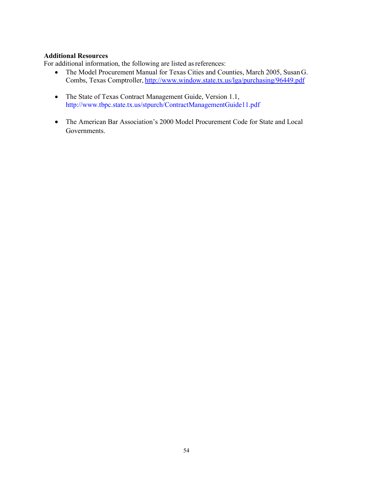# **Additional Resources**

For additional information, the following are listed as references:

- The Model Procurement Manual for Texas Cities and Counties, March 2005, SusanG. Combs, Texas Comptroller, <http://www.window.state.tx.us/lga/purchasing/96449.pdf>
- The State of Texas Contract Management Guide, Version 1.1, <http://www.tbpc.state.tx.us/stpurch/ContractManagementGuide11.pdf>
- The American Bar Association's 2000 Model Procurement Code for State and Local Governments.